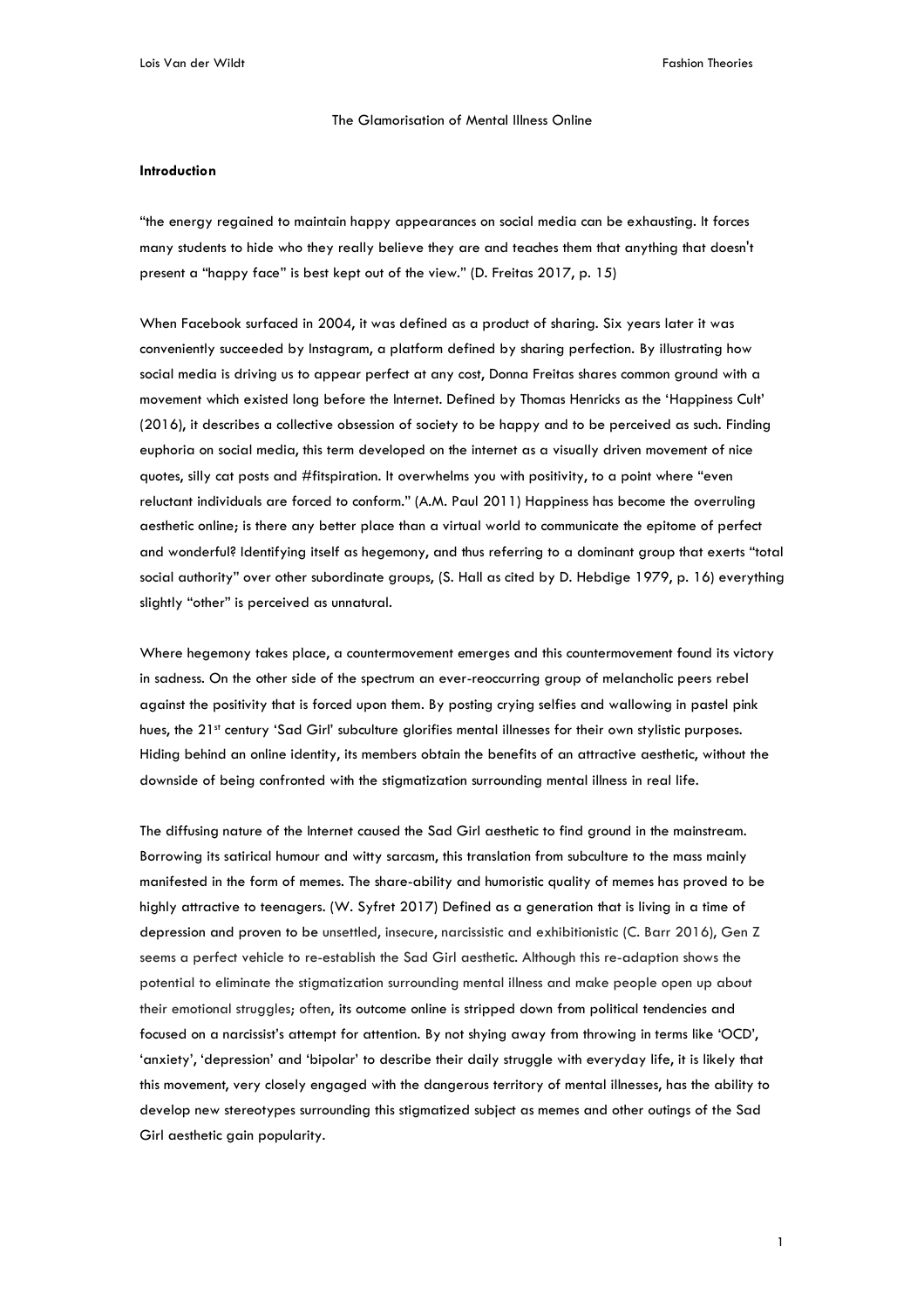The Glamorisation of Mental Illness Online

#### **Introduction**

"the energy regained to maintain happy appearances on social media can be exhausting. It forces many students to hide who they really believe they are and teaches them that anything that doesn't present a "happy face" is best kept out of the view." (D. Freitas 2017, p. 15)

When Facebook surfaced in 2004, it was defined as a product of sharing. Six years later it was conveniently succeeded by Instagram, a platform defined by sharing perfection. By illustrating how social media is driving us to appear perfect at any cost, Donna Freitas shares common ground with a movement which existed long before the Internet. Defined by Thomas Henricks as the 'Happiness Cult' (2016), it describes a collective obsession of society to be happy and to be perceived as such. Finding euphoria on social media, this term developed on the internet as a visually driven movement of nice quotes, silly cat posts and #fitspiration. It overwhelms you with positivity, to a point where "even reluctant individuals are forced to conform." (A.M. Paul 2011) Happiness has become the overruling aesthetic online; is there any better place than a virtual world to communicate the epitome of perfect and wonderful? Identifying itself as hegemony, and thus referring to a dominant group that exerts "total social authority" over other subordinate groups, (S. Hall as cited by D. Hebdige 1979, p. 16) everything slightly "other" is perceived as unnatural.

Where hegemony takes place, a countermovement emerges and this countermovement found its victory in sadness. On the other side of the spectrum an ever-reoccurring group of melancholic peers rebel against the positivity that is forced upon them. By posting crying selfies and wallowing in pastel pink hues, the 21<sup>st</sup> century 'Sad Girl' subculture glorifies mental illnesses for their own stylistic purposes. Hiding behind an online identity, its members obtain the benefits of an attractive aesthetic, without the downside of being confronted with the stigmatization surrounding mental illness in real life.

The diffusing nature of the Internet caused the Sad Girl aesthetic to find ground in the mainstream. Borrowing its satirical humour and witty sarcasm, this translation from subculture to the mass mainly manifested in the form of memes. The share-ability and humoristic quality of memes has proved to be highly attractive to teenagers. (W. Syfret 2017) Defined as a generation that is living in a time of depression and proven to be unsettled, insecure, narcissistic and exhibitionistic (C. Barr 2016), Gen Z seems a perfect vehicle to re-establish the Sad Girl aesthetic. Although this re-adaption shows the potential to eliminate the stigmatization surrounding mental illness and make people open up about their emotional struggles; often, its outcome online is stripped down from political tendencies and focused on a narcissist's attempt for attention. By not shying away from throwing in terms like 'OCD', 'anxiety', 'depression' and 'bipolar' to describe their daily struggle with everyday life, it is likely that this movement, very closely engaged with the dangerous territory of mental illnesses, has the ability to develop new stereotypes surrounding this stigmatized subject as memes and other outings of the Sad Girl aesthetic gain popularity.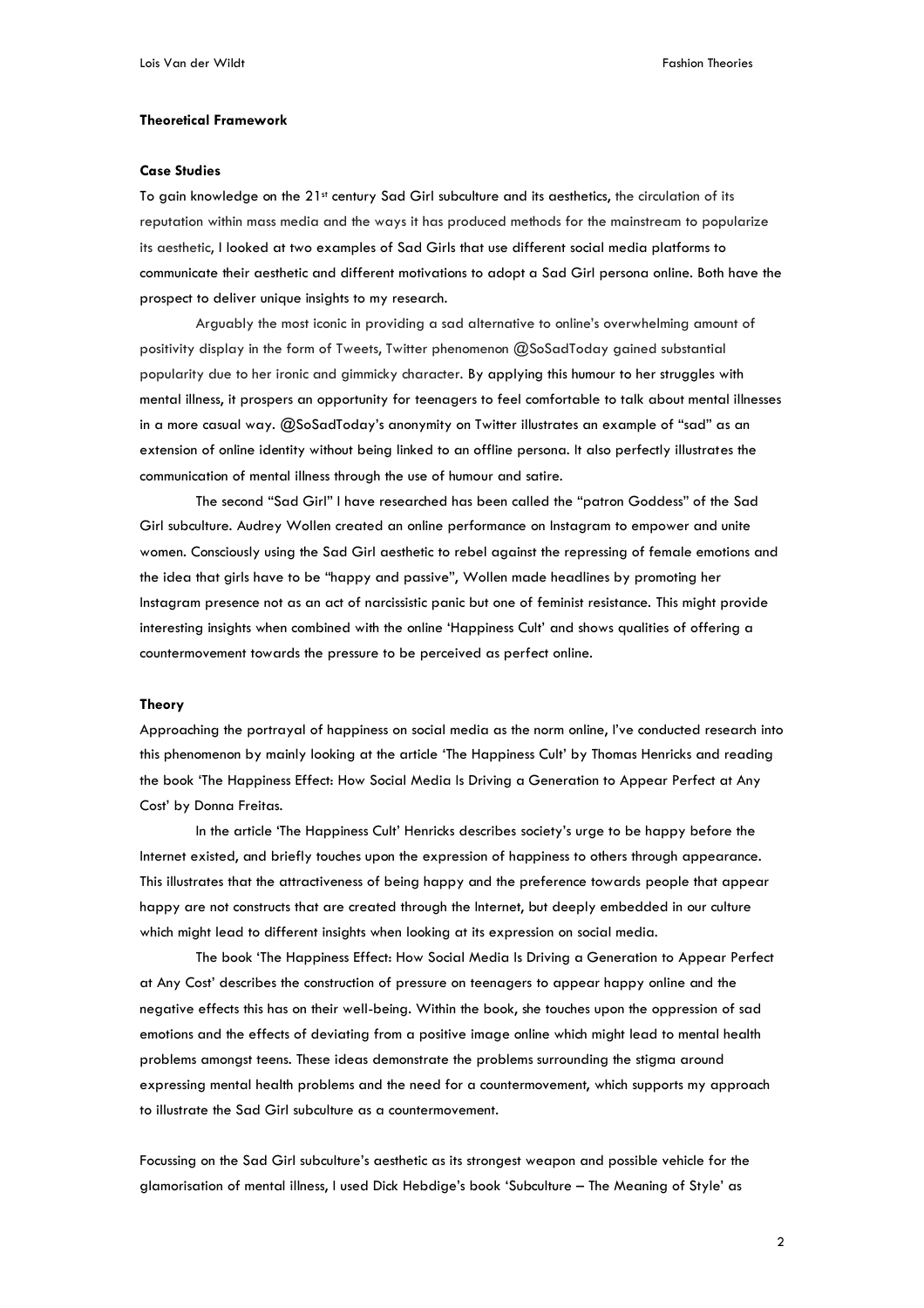# **Theoretical Framework**

#### **Case Studies**

To gain knowledge on the 21st century Sad Girl subculture and its aesthetics, the circulation of its reputation within mass media and the ways it has produced methods for the mainstream to popularize its aesthetic, I looked at two examples of Sad Girls that use different social media platforms to communicate their aesthetic and different motivations to adopt a Sad Girl persona online. Both have the prospect to deliver unique insights to my research.

Arguably the most iconic in providing a sad alternative to online's overwhelming amount of positivity display in the form of Tweets, Twitter phenomenon @SoSadToday gained substantial popularity due to her ironic and gimmicky character. By applying this humour to her struggles with mental illness, it prospers an opportunity for teenagers to feel comfortable to talk about mental illnesses in a more casual way. @SoSadToday's anonymity on Twitter illustrates an example of "sad" as an extension of online identity without being linked to an offline persona. It also perfectly illustrates the communication of mental illness through the use of humour and satire.

The second "Sad Girl" I have researched has been called the "patron Goddess" of the Sad Girl subculture. Audrey Wollen created an online performance on Instagram to empower and unite women. Consciously using the Sad Girl aesthetic to rebel against the repressing of female emotions and the idea that girls have to be "happy and passive", Wollen made headlines by promoting her Instagram presence not as an act of narcissistic panic but one of feminist resistance. This might provide interesting insights when combined with the online 'Happiness Cult' and shows qualities of offering a countermovement towards the pressure to be perceived as perfect online.

#### **Theory**

Approaching the portrayal of happiness on social media as the norm online, I've conducted research into this phenomenon by mainly looking at the article 'The Happiness Cult' by Thomas Henricks and reading the book 'The Happiness Effect: How Social Media Is Driving a Generation to Appear Perfect at Any Cost' by Donna Freitas.

In the article 'The Happiness Cult' Henricks describes society's urge to be happy before the Internet existed, and briefly touches upon the expression of happiness to others through appearance. This illustrates that the attractiveness of being happy and the preference towards people that appear happy are not constructs that are created through the Internet, but deeply embedded in our culture which might lead to different insights when looking at its expression on social media.

The book 'The Happiness Effect: How Social Media Is Driving a Generation to Appear Perfect at Any Cost' describes the construction of pressure on teenagers to appear happy online and the negative effects this has on their well-being. Within the book, she touches upon the oppression of sad emotions and the effects of deviating from a positive image online which might lead to mental health problems amongst teens. These ideas demonstrate the problems surrounding the stigma around expressing mental health problems and the need for a countermovement, which supports my approach to illustrate the Sad Girl subculture as a countermovement.

Focussing on the Sad Girl subculture's aesthetic as its strongest weapon and possible vehicle for the glamorisation of mental illness, I used Dick Hebdige's book 'Subculture – The Meaning of Style' as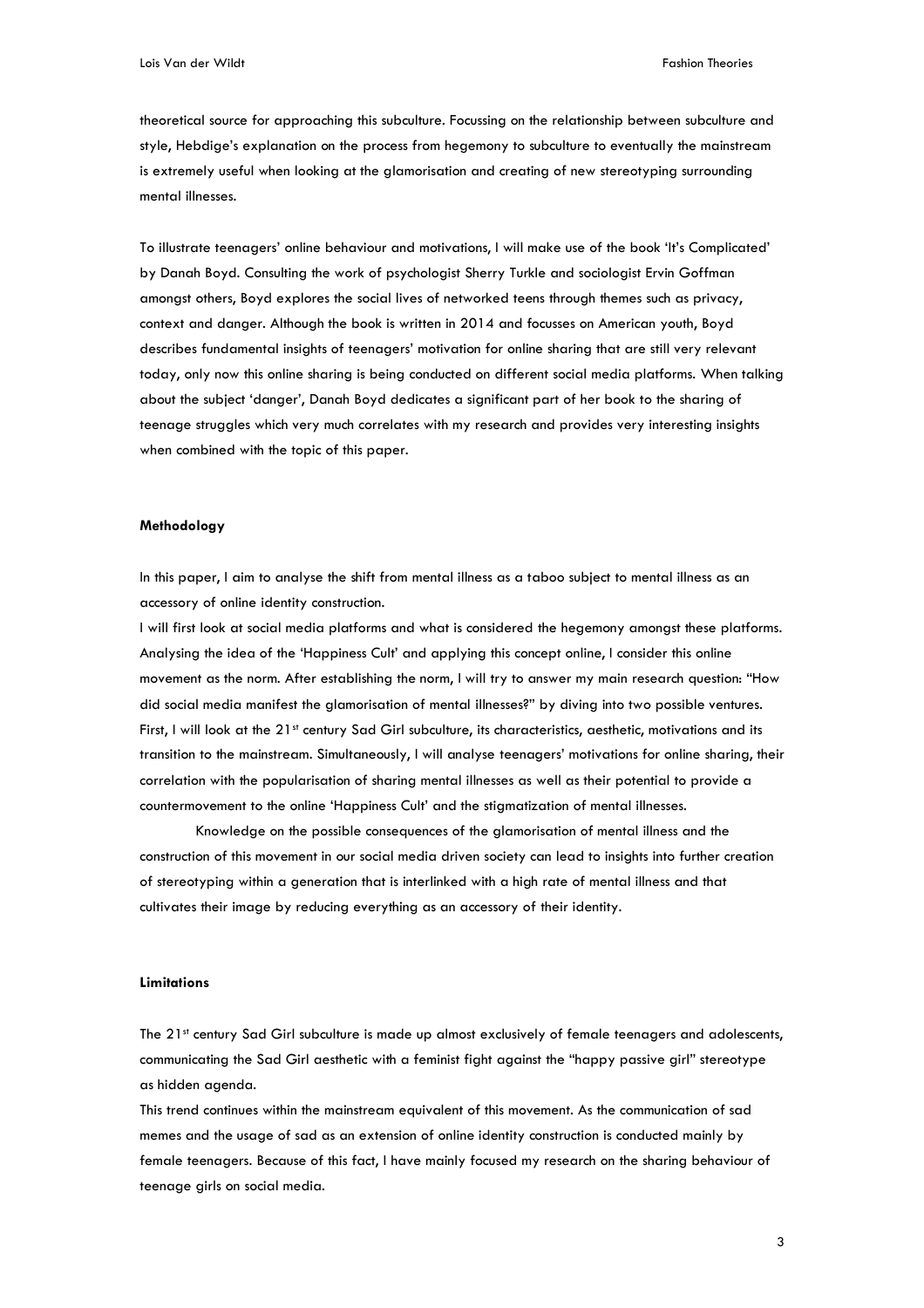theoretical source for approaching this subculture. Focussing on the relationship between subculture and style, Hebdige's explanation on the process from hegemony to subculture to eventually the mainstream is extremely useful when looking at the glamorisation and creating of new stereotyping surrounding mental illnesses.

To illustrate teenagers' online behaviour and motivations, I will make use of the book 'It's Complicated' by Danah Boyd. Consulting the work of psychologist Sherry Turkle and sociologist Ervin Goffman amongst others, Boyd explores the social lives of networked teens through themes such as privacy, context and danger. Although the book is written in 2014 and focusses on American youth, Boyd describes fundamental insights of teenagers' motivation for online sharing that are still very relevant today, only now this online sharing is being conducted on different social media platforms. When talking about the subject 'danger', Danah Boyd dedicates a significant part of her book to the sharing of teenage struggles which very much correlates with my research and provides very interesting insights when combined with the topic of this paper.

#### **Methodology**

In this paper, I aim to analyse the shift from mental illness as a taboo subject to mental illness as an accessory of online identity construction.

I will first look at social media platforms and what is considered the hegemony amongst these platforms. Analysing the idea of the 'Happiness Cult' and applying this concept online, I consider this online movement as the norm. After establishing the norm, I will try to answer my main research question: "How did social media manifest the glamorisation of mental illnesses?" by diving into two possible ventures. First, I will look at the 21<sup>st</sup> century Sad Girl subculture, its characteristics, aesthetic, motivations and its transition to the mainstream. Simultaneously, I will analyse teenagers' motivations for online sharing, their correlation with the popularisation of sharing mental illnesses as well as their potential to provide a countermovement to the online 'Happiness Cult' and the stigmatization of mental illnesses.

Knowledge on the possible consequences of the glamorisation of mental illness and the construction of this movement in our social media driven society can lead to insights into further creation of stereotyping within a generation that is interlinked with a high rate of mental illness and that cultivates their image by reducing everything as an accessory of their identity.

# **Limitations**

The 21<sup>st</sup> century Sad Girl subculture is made up almost exclusively of female teenagers and adolescents, communicating the Sad Girl aesthetic with a feminist fight against the "happy passive girl" stereotype as hidden agenda.

This trend continues within the mainstream equivalent of this movement. As the communication of sad memes and the usage of sad as an extension of online identity construction is conducted mainly by female teenagers. Because of this fact, I have mainly focused my research on the sharing behaviour of teenage girls on social media.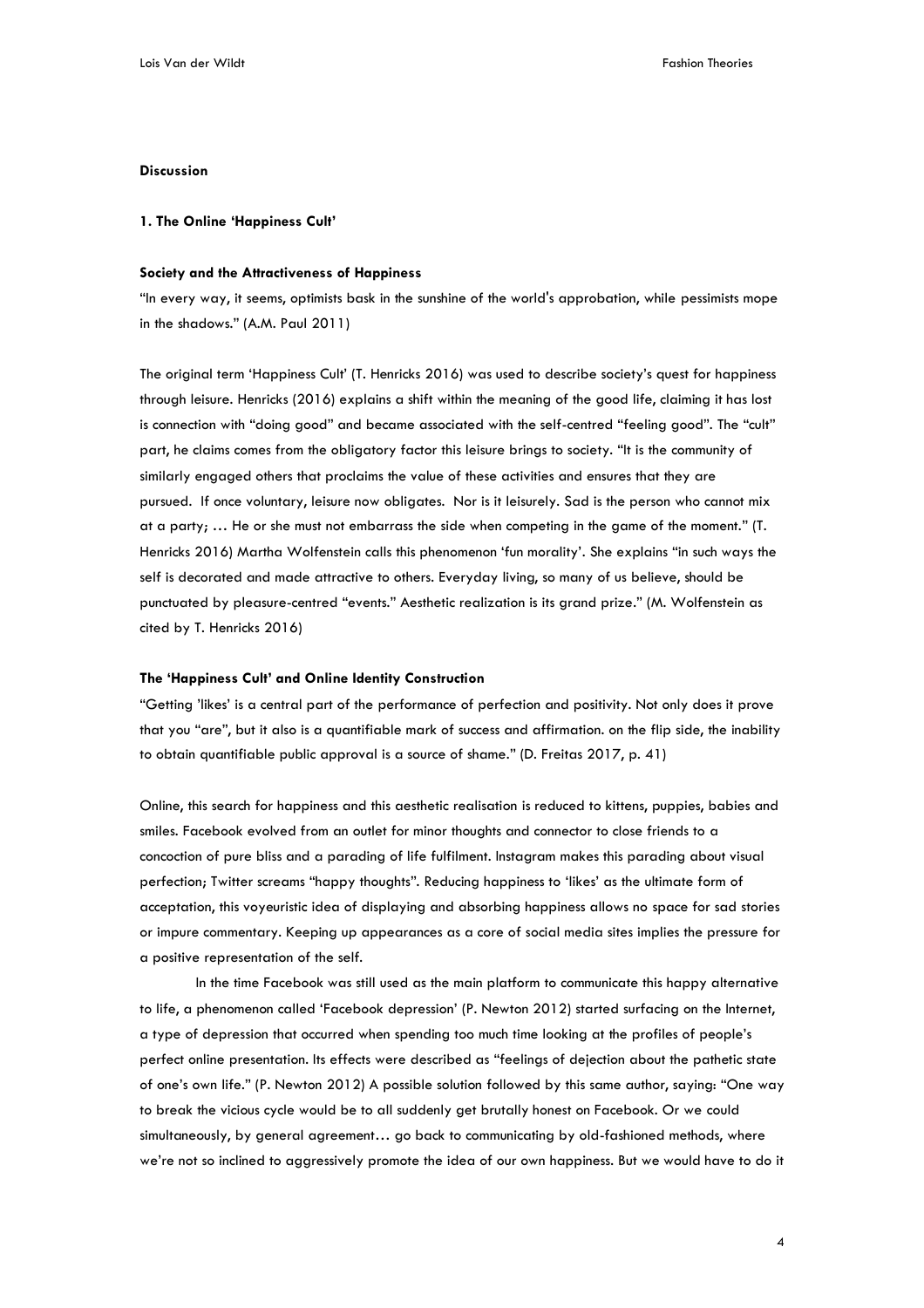# **Discussion**

#### **1. The Online 'Happiness Cult'**

#### **Society and the Attractiveness of Happiness**

"In every way, it seems, optimists bask in the sunshine of the world's approbation, while pessimists mope in the shadows." (A.M. Paul 2011)

The original term 'Happiness Cult' (T. Henricks 2016) was used to describe society's quest for happiness through leisure. Henricks (2016) explains a shift within the meaning of the good life, claiming it has lost is connection with "doing good" and became associated with the self-centred "feeling good". The "cult" part, he claims comes from the obligatory factor this leisure brings to society. "It is the community of similarly engaged others that proclaims the value of these activities and ensures that they are pursued. If once voluntary, leisure now obligates. Nor is it leisurely. Sad is the person who cannot mix at a party; … He or she must not embarrass the side when competing in the game of the moment." (T. Henricks 2016) Martha Wolfenstein calls this phenomenon 'fun morality'. She explains "in such ways the self is decorated and made attractive to others. Everyday living, so many of us believe, should be punctuated by pleasure-centred "events." Aesthetic realization is its grand prize." (M. Wolfenstein as cited by T. Henricks 2016)

#### **The 'Happiness Cult' and Online Identity Construction**

"Getting 'likes' is a central part of the performance of perfection and positivity. Not only does it prove that you "are", but it also is a quantifiable mark of success and affirmation. on the flip side, the inability to obtain quantifiable public approval is a source of shame." (D. Freitas 2017, p. 41)

Online, this search for happiness and this aesthetic realisation is reduced to kittens, puppies, babies and smiles. Facebook evolved from an outlet for minor thoughts and connector to close friends to a concoction of pure bliss and a parading of life fulfilment. Instagram makes this parading about visual perfection; Twitter screams "happy thoughts". Reducing happiness to 'likes' as the ultimate form of acceptation, this voyeuristic idea of displaying and absorbing happiness allows no space for sad stories or impure commentary. Keeping up appearances as a core of social media sites implies the pressure for a positive representation of the self.

In the time Facebook was still used as the main platform to communicate this happy alternative to life, a phenomenon called 'Facebook depression' (P. Newton 2012) started surfacing on the Internet, a type of depression that occurred when spending too much time looking at the profiles of people's perfect online presentation. Its effects were described as "feelings of dejection about the pathetic state of one's own life." (P. Newton 2012) A possible solution followed by this same author, saying: "One way to break the vicious cycle would be to all suddenly get brutally honest on Facebook. Or we could simultaneously, by general agreement… go back to communicating by old-fashioned methods, where we're not so inclined to aggressively promote the idea of our own happiness. But we would have to do it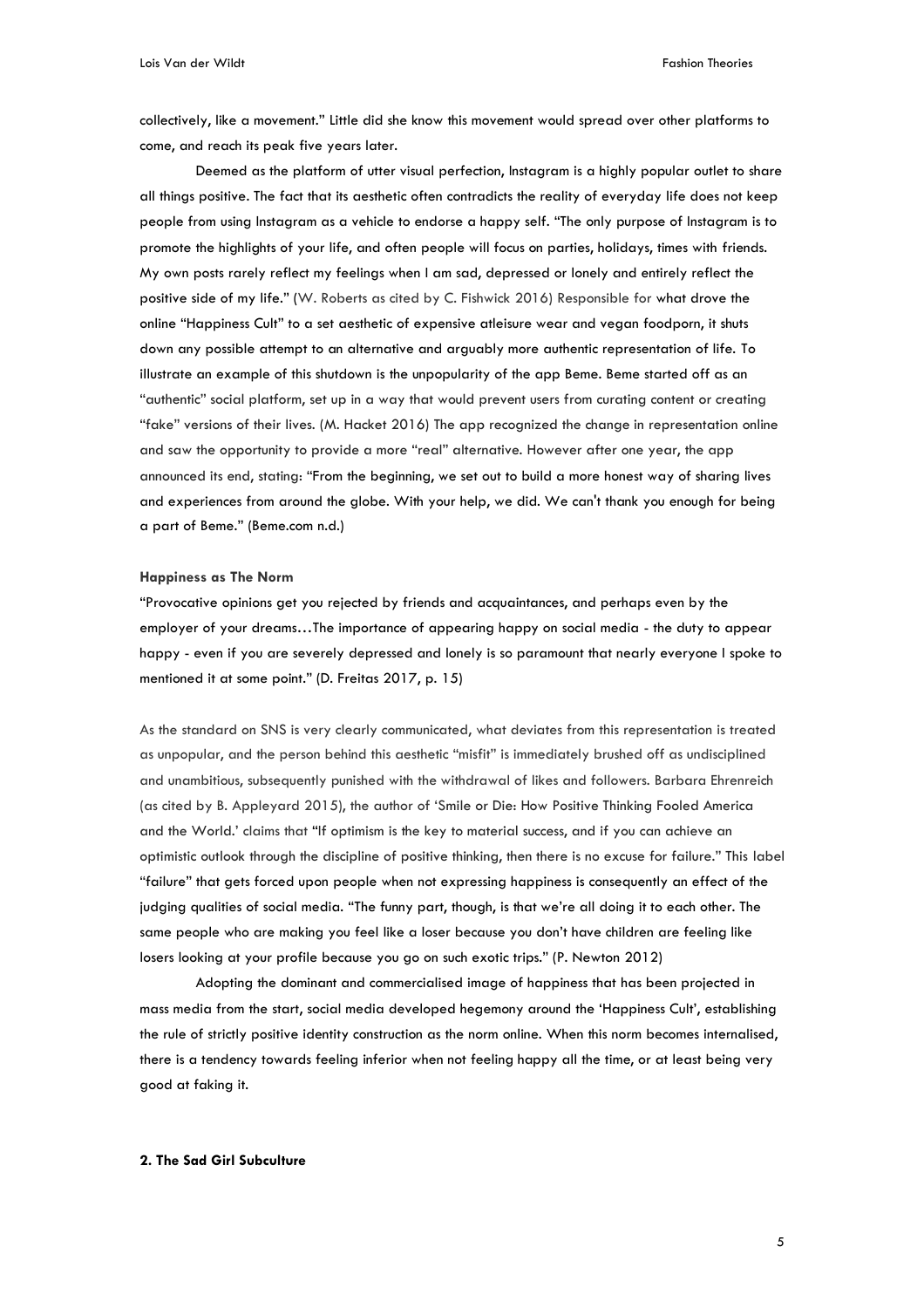collectively, like a movement." Little did she know this movement would spread over other platforms to come, and reach its peak five years later.

Deemed as the platform of utter visual perfection, Instagram is a highly popular outlet to share all things positive. The fact that its aesthetic often contradicts the reality of everyday life does not keep people from using Instagram as a vehicle to endorse a happy self. "The only purpose of Instagram is to promote the highlights of your life, and often people will focus on parties, holidays, times with friends. My own posts rarely reflect my feelings when I am sad, depressed or lonely and entirely reflect the positive side of my life." (W. Roberts as cited by C. Fishwick 2016) Responsible for what drove the online "Happiness Cult" to a set aesthetic of expensive atleisure wear and vegan foodporn, it shuts down any possible attempt to an alternative and arguably more authentic representation of life. To illustrate an example of this shutdown is the unpopularity of the app Beme. Beme started off as an "authentic" social platform, set up in a way that would prevent users from curating content or creating "fake" versions of their lives. (M. Hacket 2016) The app recognized the change in representation online and saw the opportunity to provide a more "real" alternative. However after one year, the app announced its end, stating: "From the beginning, we set out to build a more honest way of sharing lives and experiences from around the globe. With your help, we did. We can't thank you enough for being a part of Beme." (Beme.com n.d.)

## **Happiness as The Norm**

"Provocative opinions get you rejected by friends and acquaintances, and perhaps even by the employer of your dreams…The importance of appearing happy on social media - the duty to appear happy - even if you are severely depressed and lonely is so paramount that nearly everyone I spoke to mentioned it at some point." (D. Freitas 2017, p. 15)

As the standard on SNS is very clearly communicated, what deviates from this representation is treated as unpopular, and the person behind this aesthetic "misfit" is immediately brushed off as undisciplined and unambitious, subsequently punished with the withdrawal of likes and followers. Barbara Ehrenreich (as cited by B. Appleyard 2015), the author of 'Smile or Die: How Positive Thinking Fooled America and the World.' claims that "If optimism is the key to material success, and if you can achieve an optimistic outlook through the discipline of positive thinking, then there is no excuse for failure." This label "failure" that gets forced upon people when not expressing happiness is consequently an effect of the judging qualities of social media. "The funny part, though, is that we're all doing it to each other. The same people who are making you feel like a loser because you don't have children are feeling like losers looking at your profile because you go on such exotic trips." (P. Newton 2012)

Adopting the dominant and commercialised image of happiness that has been projected in mass media from the start, social media developed hegemony around the 'Happiness Cult', establishing the rule of strictly positive identity construction as the norm online. When this norm becomes internalised, there is a tendency towards feeling inferior when not feeling happy all the time, or at least being very good at faking it.

# **2. The Sad Girl Subculture**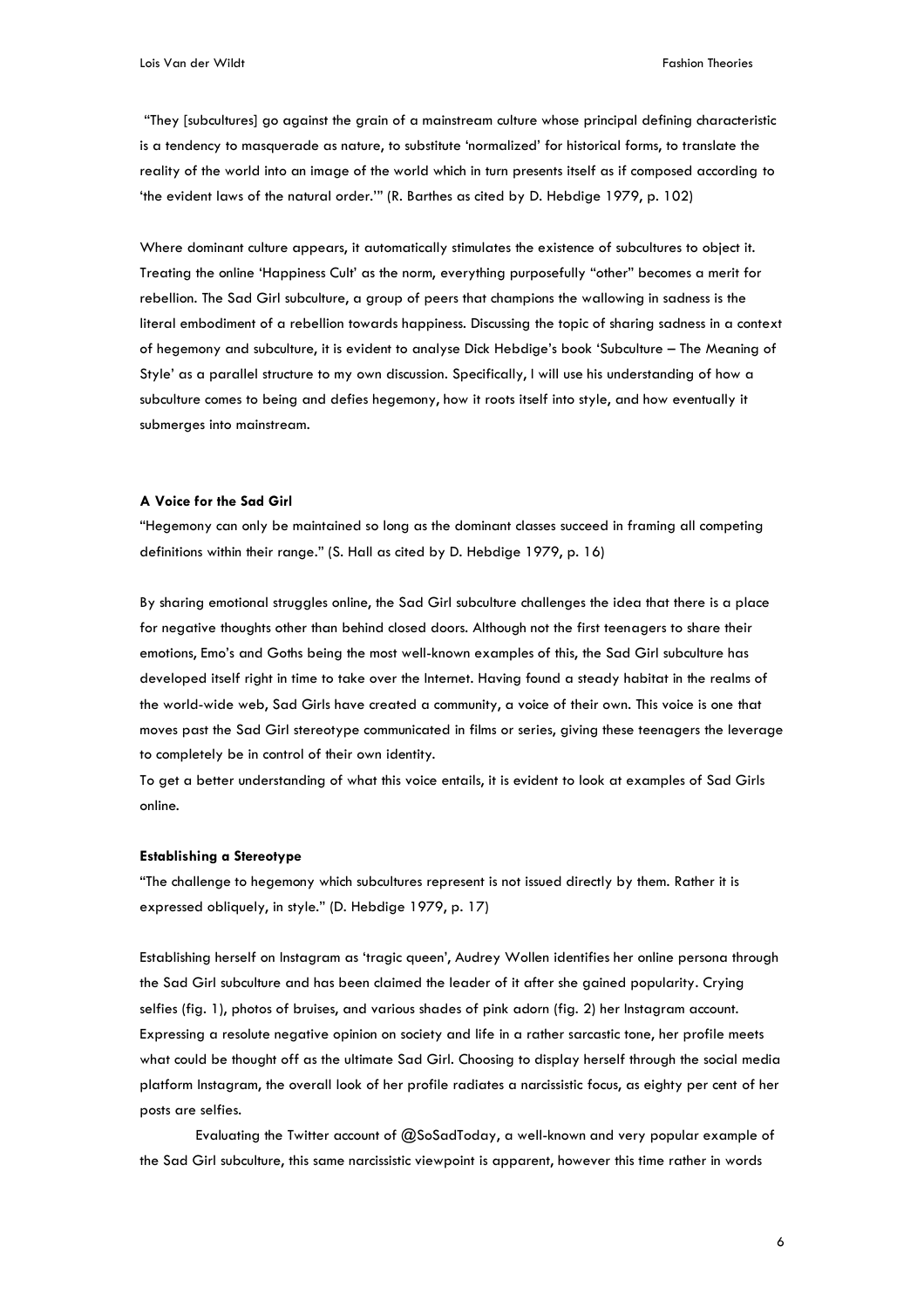"They [subcultures] go against the grain of a mainstream culture whose principal defining characteristic is a tendency to masquerade as nature, to substitute 'normalized' for historical forms, to translate the reality of the world into an image of the world which in turn presents itself as if composed according to 'the evident laws of the natural order.'" (R. Barthes as cited by D. Hebdige 1979, p. 102)

Where dominant culture appears, it automatically stimulates the existence of subcultures to object it. Treating the online 'Happiness Cult' as the norm, everything purposefully "other" becomes a merit for rebellion. The Sad Girl subculture, a group of peers that champions the wallowing in sadness is the literal embodiment of a rebellion towards happiness. Discussing the topic of sharing sadness in a context of hegemony and subculture, it is evident to analyse Dick Hebdige's book 'Subculture – The Meaning of Style' as a parallel structure to my own discussion. Specifically, I will use his understanding of how a subculture comes to being and defies hegemony, how it roots itself into style, and how eventually it submerges into mainstream.

# **A Voice for the Sad Girl**

"Hegemony can only be maintained so long as the dominant classes succeed in framing all competing definitions within their range." (S. Hall as cited by D. Hebdige 1979, p. 16)

By sharing emotional struggles online, the Sad Girl subculture challenges the idea that there is a place for negative thoughts other than behind closed doors. Although not the first teenagers to share their emotions, Emo's and Goths being the most well-known examples of this, the Sad Girl subculture has developed itself right in time to take over the Internet. Having found a steady habitat in the realms of the world-wide web, Sad Girls have created a community, a voice of their own. This voice is one that moves past the Sad Girl stereotype communicated in films or series, giving these teenagers the leverage to completely be in control of their own identity.

To get a better understanding of what this voice entails, it is evident to look at examples of Sad Girls online.

#### **Establishing a Stereotype**

"The challenge to hegemony which subcultures represent is not issued directly by them. Rather it is expressed obliquely, in style." (D. Hebdige 1979, p. 17)

Establishing herself on Instagram as 'tragic queen', Audrey Wollen identifies her online persona through the Sad Girl subculture and has been claimed the leader of it after she gained popularity. Crying selfies (fig. 1), photos of bruises, and various shades of pink adorn (fig. 2) her Instagram account. Expressing a resolute negative opinion on society and life in a rather sarcastic tone, her profile meets what could be thought off as the ultimate Sad Girl. Choosing to display herself through the social media platform Instagram, the overall look of her profile radiates a narcissistic focus, as eighty per cent of her posts are selfies.

Evaluating the Twitter account of @SoSadToday, a well-known and very popular example of the Sad Girl subculture, this same narcissistic viewpoint is apparent, however this time rather in words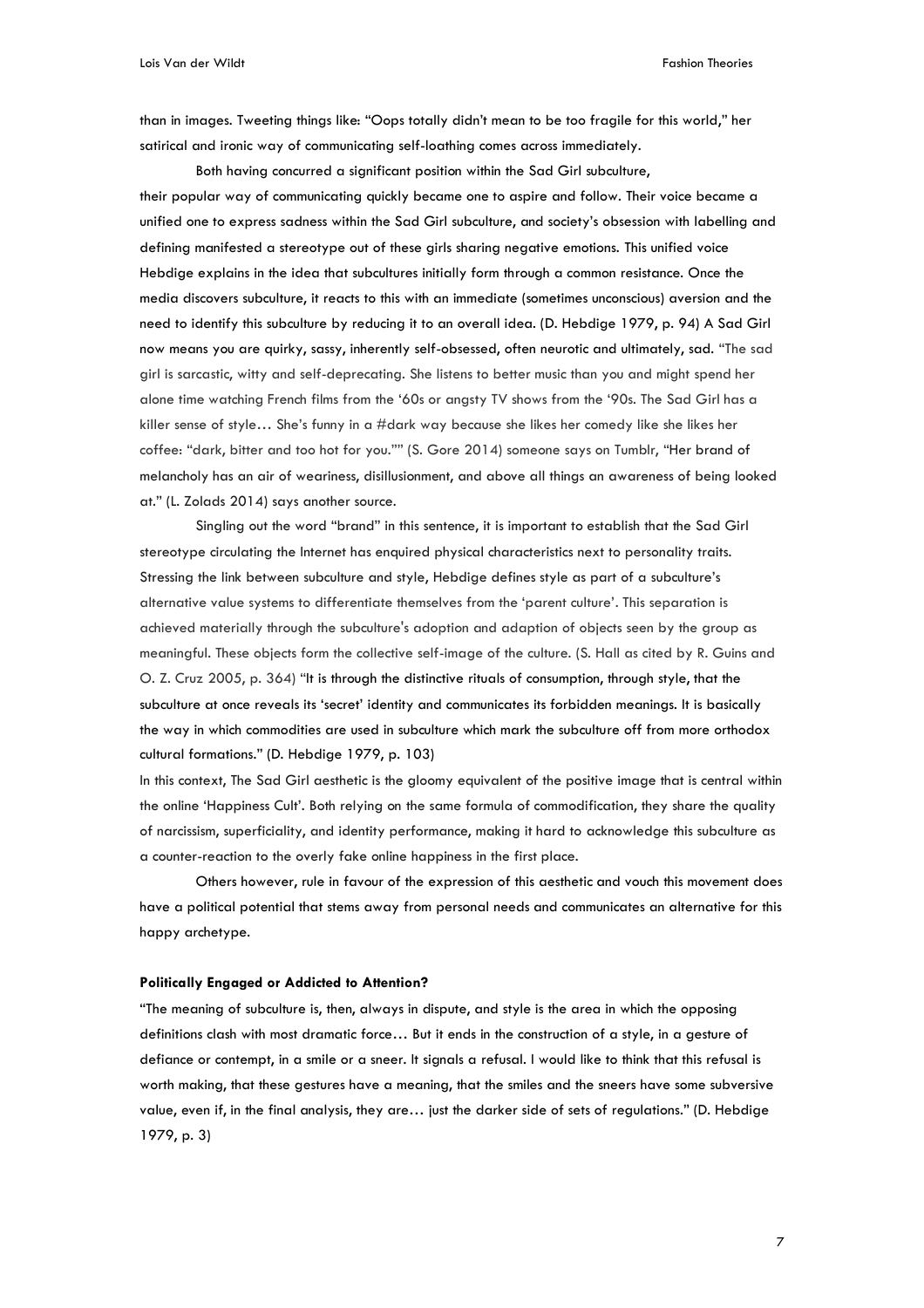than in images. Tweeting things like: "Oops totally didn't mean to be too fragile for this world," her satirical and ironic way of communicating self-loathing comes across immediately.

Both having concurred a significant position within the Sad Girl subculture, their popular way of communicating quickly became one to aspire and follow. Their voice became a unified one to express sadness within the Sad Girl subculture, and society's obsession with labelling and defining manifested a stereotype out of these girls sharing negative emotions. This unified voice Hebdige explains in the idea that subcultures initially form through a common resistance. Once the media discovers subculture, it reacts to this with an immediate (sometimes unconscious) aversion and the need to identify this subculture by reducing it to an overall idea. (D. Hebdige 1979, p. 94) A Sad Girl now means you are quirky, sassy, inherently self-obsessed, often neurotic and ultimately, sad. "The sad girl is sarcastic, witty and self-deprecating. She listens to better music than you and might spend her alone time watching French films from the '60s or angsty TV shows from the '90s. The Sad Girl has a killer sense of style… She's funny in a #dark way because she likes her comedy like she likes her coffee: "dark, bitter and too hot for you."" (S. Gore 2014) someone says on Tumblr, "Her brand of melancholy has an air of weariness, disillusionment, and above all things an awareness of being looked at." (L. Zolads 2014) says another source.

Singling out the word "brand" in this sentence, it is important to establish that the Sad Girl stereotype circulating the Internet has enquired physical characteristics next to personality traits. Stressing the link between subculture and style, Hebdige defines style as part of a subculture's alternative value systems to differentiate themselves from the 'parent culture'. This separation is achieved materially through the subculture's adoption and adaption of objects seen by the group as meaningful. These objects form the collective self-image of the culture. (S. Hall as cited by R. Guins and O. Z. Cruz 2005, p. 364) "It is through the distinctive rituals of consumption, through style, that the subculture at once reveals its 'secret' identity and communicates its forbidden meanings. It is basically the way in which commodities are used in subculture which mark the subculture off from more orthodox cultural formations." (D. Hebdige 1979, p. 103)

In this context, The Sad Girl aesthetic is the gloomy equivalent of the positive image that is central within the online 'Happiness Cult'. Both relying on the same formula of commodification, they share the quality of narcissism, superficiality, and identity performance, making it hard to acknowledge this subculture as a counter-reaction to the overly fake online happiness in the first place.

Others however, rule in favour of the expression of this aesthetic and vouch this movement does have a political potential that stems away from personal needs and communicates an alternative for this happy archetype.

#### **Politically Engaged or Addicted to Attention?**

"The meaning of subculture is, then, always in dispute, and style is the area in which the opposing definitions clash with most dramatic force… But it ends in the construction of a style, in a gesture of defiance or contempt, in a smile or a sneer. It signals a refusal. I would like to think that this refusal is worth making, that these gestures have a meaning, that the smiles and the sneers have some subversive value, even if, in the final analysis, they are… just the darker side of sets of regulations." (D. Hebdige 1979, p. 3)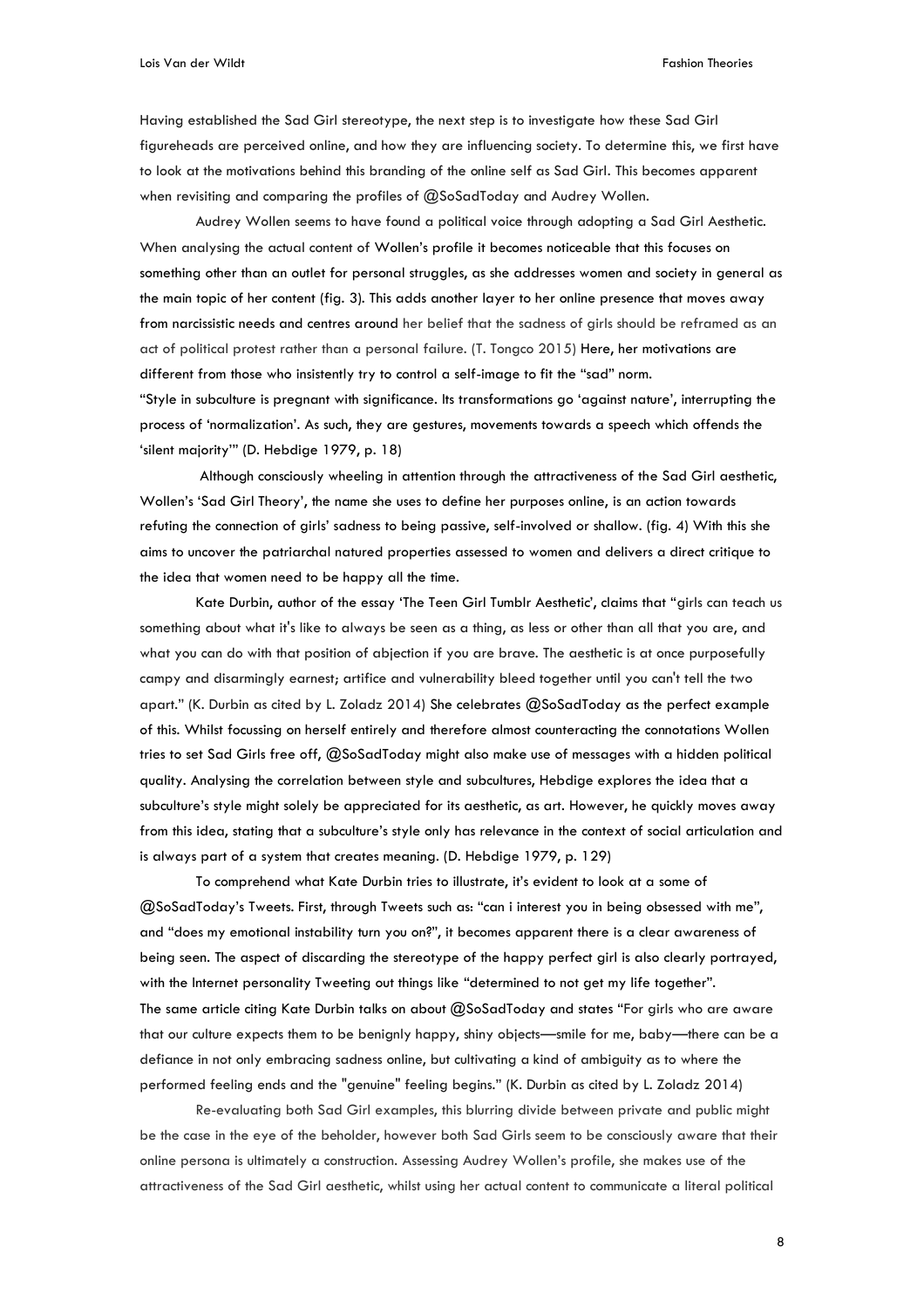Having established the Sad Girl stereotype, the next step is to investigate how these Sad Girl figureheads are perceived online, and how they are influencing society. To determine this, we first have to look at the motivations behind this branding of the online self as Sad Girl. This becomes apparent when revisiting and comparing the profiles of @SoSadToday and Audrey Wollen.

Audrey Wollen seems to have found a political voice through adopting a Sad Girl Aesthetic. When analysing the actual content of Wollen's profile it becomes noticeable that this focuses on something other than an outlet for personal struggles, as she addresses women and society in general as the main topic of her content (fig. 3). This adds another layer to her online presence that moves away from narcissistic needs and centres around her belief that the sadness of girls should be reframed as an act of political protest rather than a personal failure. (T. Tongco 2015) Here, her motivations are different from those who insistently try to control a self-image to fit the "sad" norm. "Style in subculture is pregnant with significance. Its transformations go 'against nature', interrupting the

process of 'normalization'. As such, they are gestures, movements towards a speech which offends the 'silent majority'" (D. Hebdige 1979, p. 18)

Although consciously wheeling in attention through the attractiveness of the Sad Girl aesthetic, Wollen's 'Sad Girl Theory', the name she uses to define her purposes online, is an action towards refuting the connection of girls' sadness to being passive, self-involved or shallow. (fig. 4) With this she aims to uncover the patriarchal natured properties assessed to women and delivers a direct critique to the idea that women need to be happy all the time.

Kate Durbin, author of the essay 'The Teen Girl Tumblr Aesthetic', claims that "girls can teach us something about what it's like to always be seen as a thing, as less or other than all that you are, and what you can do with that position of abjection if you are brave. The aesthetic is at once purposefully campy and disarmingly earnest; artifice and vulnerability bleed together until you can't tell the two apart." (K. Durbin as cited by L. Zoladz 2014) She celebrates @SoSadToday as the perfect example of this. Whilst focussing on herself entirely and therefore almost counteracting the connotations Wollen tries to set Sad Girls free off, @SoSadToday might also make use of messages with a hidden political quality. Analysing the correlation between style and subcultures, Hebdige explores the idea that a subculture's style might solely be appreciated for its aesthetic, as art. However, he quickly moves away from this idea, stating that a subculture's style only has relevance in the context of social articulation and is always part of a system that creates meaning. (D. Hebdige 1979, p. 129)

To comprehend what Kate Durbin tries to illustrate, it's evident to look at a some of @SoSadToday's Tweets. First, through Tweets such as: "can i interest you in being obsessed with me", and "does my emotional instability turn you on?", it becomes apparent there is a clear awareness of being seen. The aspect of discarding the stereotype of the happy perfect girl is also clearly portrayed, with the Internet personality Tweeting out things like "determined to not get my life together". The same article citing Kate Durbin talks on about @SoSadToday and states "For girls who are aware that our culture expects them to be benignly happy, shiny objects—smile for me, baby—there can be a defiance in not only embracing sadness online, but cultivating a kind of ambiguity as to where the performed feeling ends and the "genuine" feeling begins." (K. Durbin as cited by L. Zoladz 2014)

Re-evaluating both Sad Girl examples, this blurring divide between private and public might be the case in the eye of the beholder, however both Sad Girls seem to be consciously aware that their online persona is ultimately a construction. Assessing Audrey Wollen's profile, she makes use of the attractiveness of the Sad Girl aesthetic, whilst using her actual content to communicate a literal political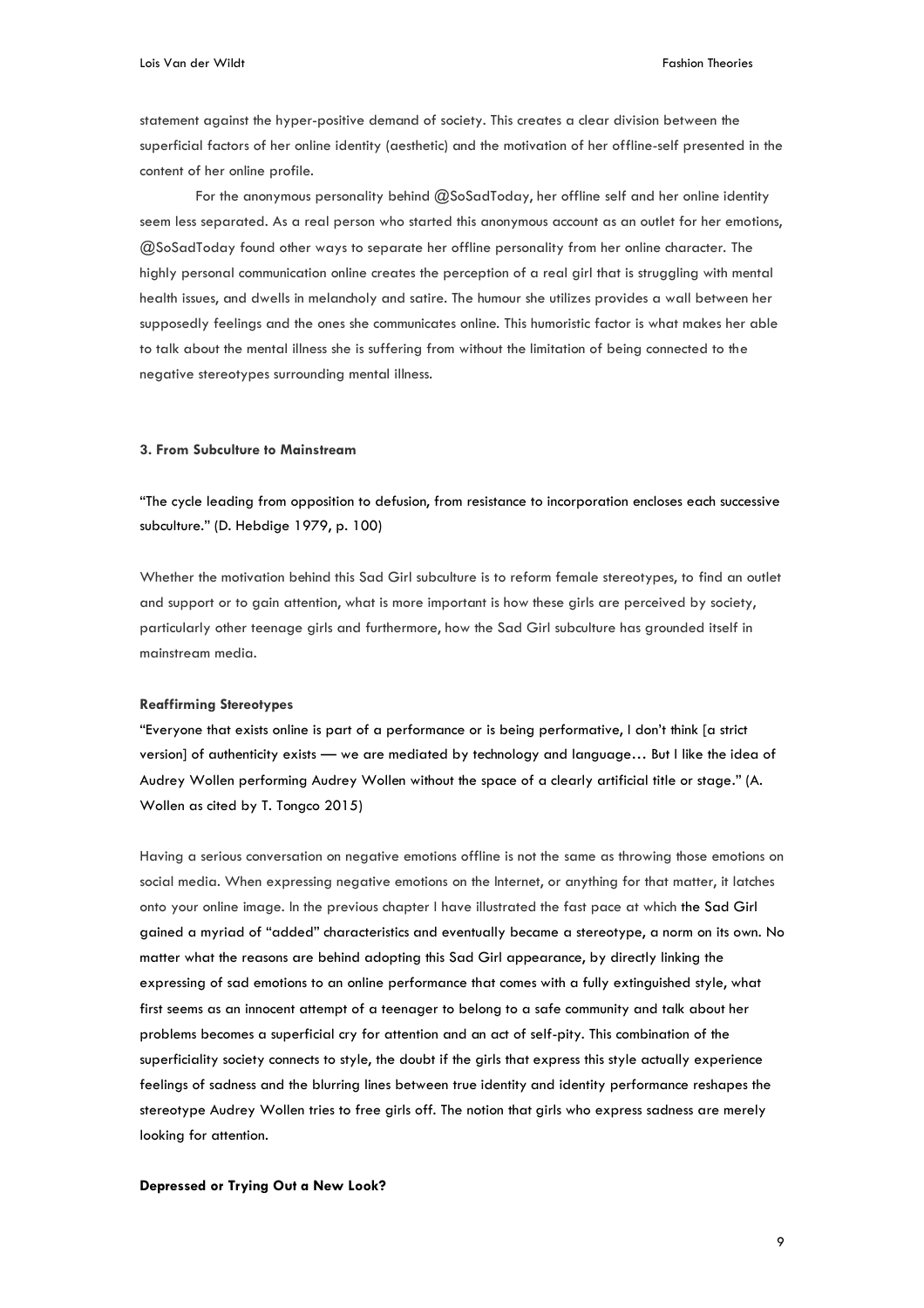statement against the hyper-positive demand of society. This creates a clear division between the superficial factors of her online identity (aesthetic) and the motivation of her offline-self presented in the content of her online profile.

For the anonymous personality behind @SoSadToday, her offline self and her online identity seem less separated. As a real person who started this anonymous account as an outlet for her emotions, @SoSadToday found other ways to separate her offline personality from her online character. The highly personal communication online creates the perception of a real girl that is struggling with mental health issues, and dwells in melancholy and satire. The humour she utilizes provides a wall between her supposedly feelings and the ones she communicates online. This humoristic factor is what makes her able to talk about the mental illness she is suffering from without the limitation of being connected to the negative stereotypes surrounding mental illness.

# **3. From Subculture to Mainstream**

"The cycle leading from opposition to defusion, from resistance to incorporation encloses each successive subculture." (D. Hebdige 1979, p. 100)

Whether the motivation behind this Sad Girl subculture is to reform female stereotypes, to find an outlet and support or to gain attention, what is more important is how these girls are perceived by society, particularly other teenage girls and furthermore, how the Sad Girl subculture has grounded itself in mainstream media.

#### **Reaffirming Stereotypes**

"Everyone that exists online is part of a performance or is being performative, I don't think [a strict version] of authenticity exists — we are mediated by technology and language… But I like the idea of Audrey Wollen performing Audrey Wollen without the space of a clearly artificial title or stage." (A. Wollen as cited by T. Tongco 2015)

Having a serious conversation on negative emotions offline is not the same as throwing those emotions on social media. When expressing negative emotions on the Internet, or anything for that matter, it latches onto your online image. In the previous chapter I have illustrated the fast pace at which the Sad Girl gained a myriad of "added" characteristics and eventually became a stereotype, a norm on its own. No matter what the reasons are behind adopting this Sad Girl appearance, by directly linking the expressing of sad emotions to an online performance that comes with a fully extinguished style, what first seems as an innocent attempt of a teenager to belong to a safe community and talk about her problems becomes a superficial cry for attention and an act of self-pity. This combination of the superficiality society connects to style, the doubt if the girls that express this style actually experience feelings of sadness and the blurring lines between true identity and identity performance reshapes the stereotype Audrey Wollen tries to free girls off. The notion that girls who express sadness are merely looking for attention.

#### **Depressed or Trying Out a New Look?**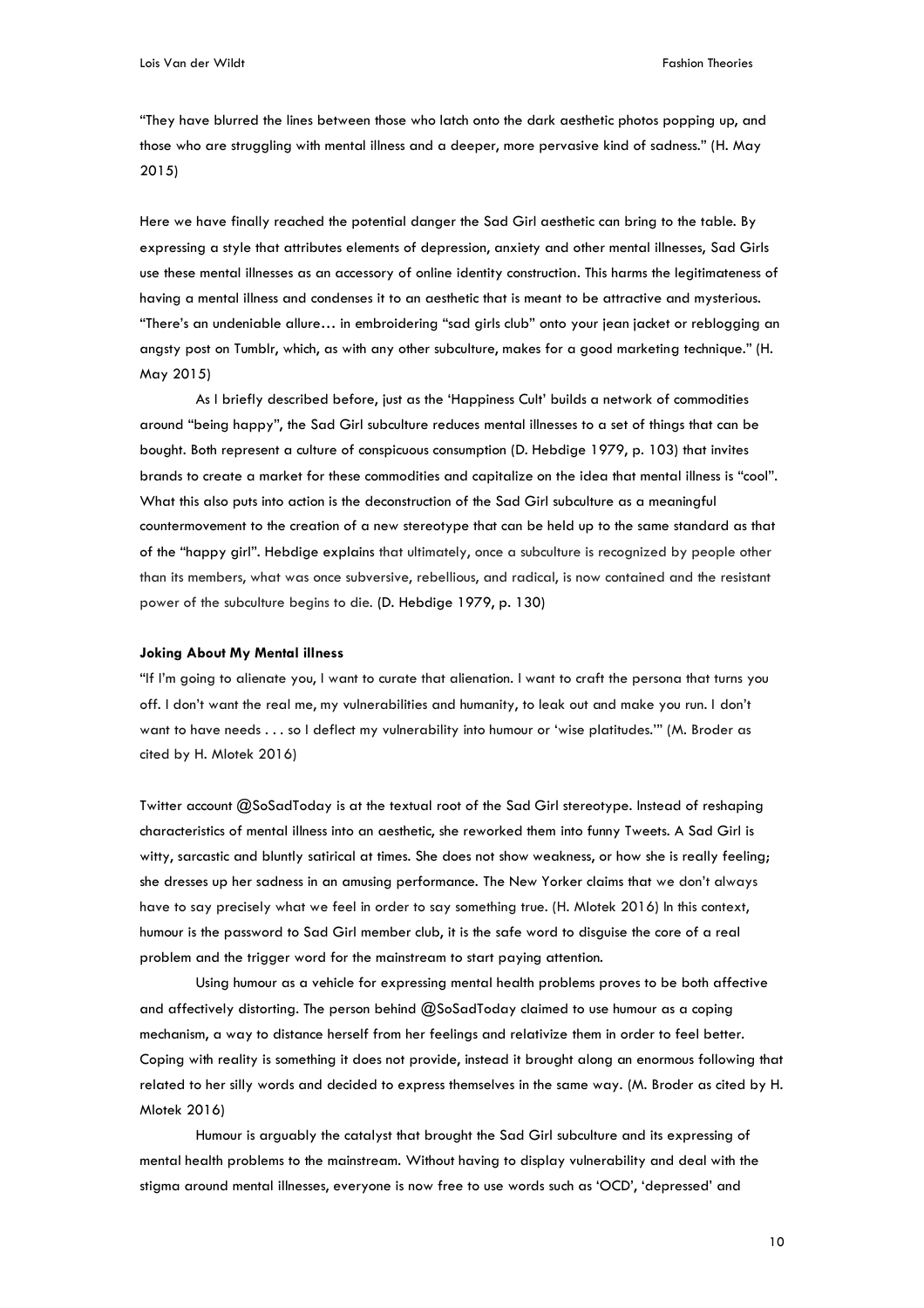"They have blurred the lines between those who latch onto the dark aesthetic photos popping up, and those who are struggling with mental illness and a deeper, more pervasive kind of sadness." (H. May 2015)

Here we have finally reached the potential danger the Sad Girl aesthetic can bring to the table. By expressing a style that attributes elements of depression, anxiety and other mental illnesses, Sad Girls use these mental illnesses as an accessory of online identity construction. This harms the legitimateness of having a mental illness and condenses it to an aesthetic that is meant to be attractive and mysterious. "There's an undeniable allure… in embroidering "sad girls club" onto your jean jacket or reblogging an angsty post on Tumblr, which, as with any other subculture, makes for a good marketing technique." (H. May 2015)

As I briefly described before, just as the 'Happiness Cult' builds a network of commodities around "being happy", the Sad Girl subculture reduces mental illnesses to a set of things that can be bought. Both represent a culture of conspicuous consumption (D. Hebdige 1979, p. 103) that invites brands to create a market for these commodities and capitalize on the idea that mental illness is "cool". What this also puts into action is the deconstruction of the Sad Girl subculture as a meaningful countermovement to the creation of a new stereotype that can be held up to the same standard as that of the "happy girl". Hebdige explains that ultimately, once a subculture is recognized by people other than its members, what was once subversive, rebellious, and radical, is now contained and the resistant power of the subculture begins to die. (D. Hebdige 1979, p. 130)

# **Joking About My Mental illness**

"If I'm going to alienate you, I want to curate that alienation. I want to craft the persona that turns you off. I don't want the real me, my vulnerabilities and humanity, to leak out and make you run. I don't want to have needs . . . so I deflect my vulnerability into humour or 'wise platitudes.'" (M. Broder as cited by H. Mlotek 2016)

Twitter account @SoSadToday is at the textual root of the Sad Girl stereotype. Instead of reshaping characteristics of mental illness into an aesthetic, she reworked them into funny Tweets. A Sad Girl is witty, sarcastic and bluntly satirical at times. She does not show weakness, or how she is really feeling; she dresses up her sadness in an amusing performance. The New Yorker claims that we don't always have to say precisely what we feel in order to say something true. (H. Mlotek 2016) In this context, humour is the password to Sad Girl member club, it is the safe word to disguise the core of a real problem and the trigger word for the mainstream to start paying attention.

Using humour as a vehicle for expressing mental health problems proves to be both affective and affectively distorting. The person behind @SoSadToday claimed to use humour as a coping mechanism, a way to distance herself from her feelings and relativize them in order to feel better. Coping with reality is something it does not provide, instead it brought along an enormous following that related to her silly words and decided to express themselves in the same way. (M. Broder as cited by H. Mlotek 2016)

Humour is arguably the catalyst that brought the Sad Girl subculture and its expressing of mental health problems to the mainstream. Without having to display vulnerability and deal with the stigma around mental illnesses, everyone is now free to use words such as 'OCD', 'depressed' and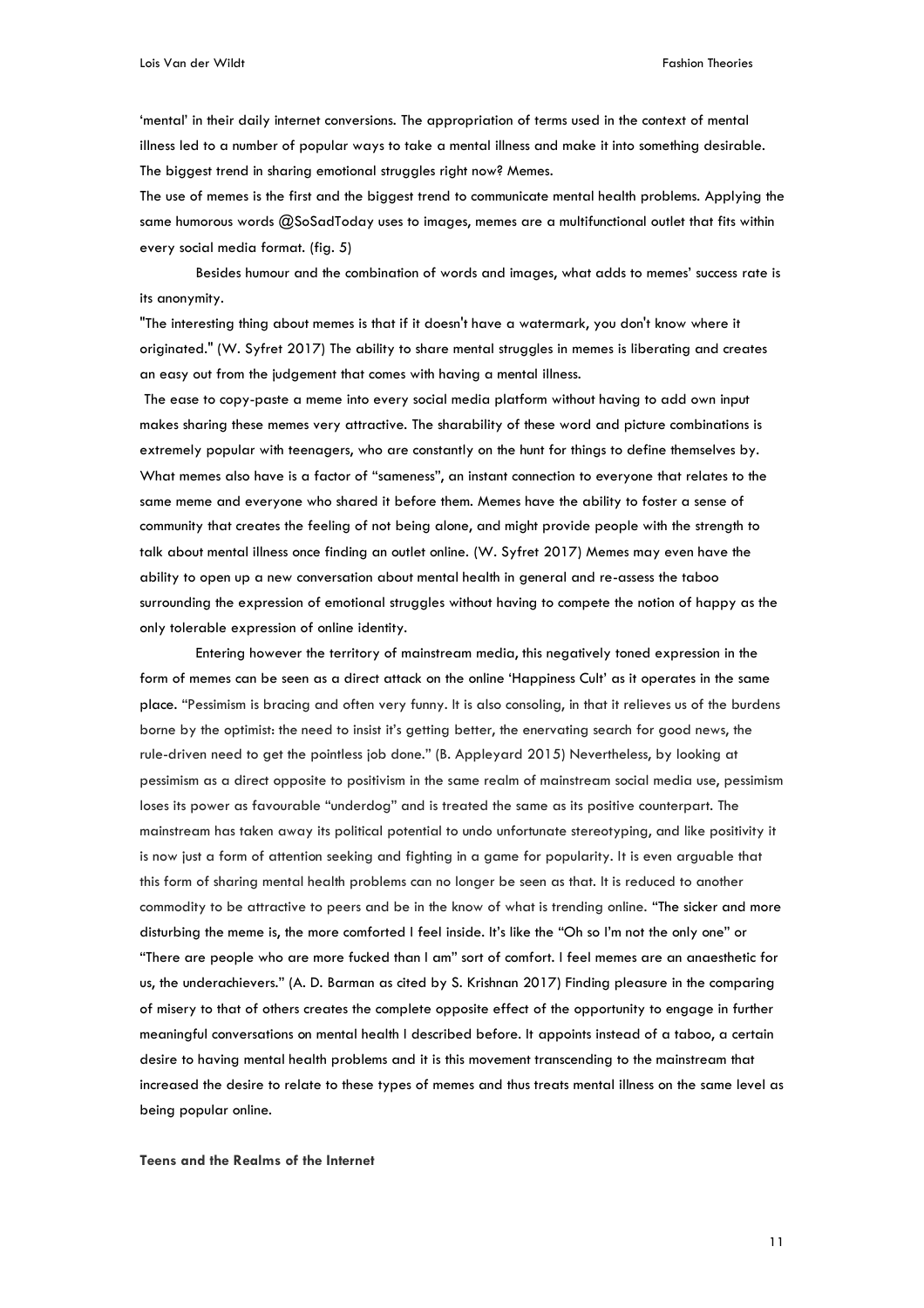'mental' in their daily internet conversions. The appropriation of terms used in the context of mental illness led to a number of popular ways to take a mental illness and make it into something desirable. The biggest trend in sharing emotional struggles right now? Memes.

The use of memes is the first and the biggest trend to communicate mental health problems. Applying the same humorous words @SoSadToday uses to images, memes are a multifunctional outlet that fits within every social media format. (fig. 5)

Besides humour and the combination of words and images, what adds to memes' success rate is its anonymity.

"The interesting thing about memes is that if it doesn't have a watermark, you don't know where it originated." (W. Syfret 2017) The ability to share mental struggles in memes is liberating and creates an easy out from the judgement that comes with having a mental illness.

The ease to copy-paste a meme into every social media platform without having to add own input makes sharing these memes very attractive. The sharability of these word and picture combinations is extremely popular with teenagers, who are constantly on the hunt for things to define themselves by. What memes also have is a factor of "sameness", an instant connection to everyone that relates to the same meme and everyone who shared it before them. Memes have the ability to foster a sense of community that creates the feeling of not being alone, and might provide people with the strength to talk about mental illness once finding an outlet online. (W. Syfret 2017) Memes may even have the ability to open up a new conversation about mental health in general and re-assess the taboo surrounding the expression of emotional struggles without having to compete the notion of happy as the only tolerable expression of online identity.

Entering however the territory of mainstream media, this negatively toned expression in the form of memes can be seen as a direct attack on the online 'Happiness Cult' as it operates in the same place. "Pessimism is bracing and often very funny. It is also consoling, in that it relieves us of the burdens borne by the optimist: the need to insist it's getting better, the enervating search for good news, the rule-driven need to get the pointless job done." (B. Appleyard 2015) Nevertheless, by looking at pessimism as a direct opposite to positivism in the same realm of mainstream social media use, pessimism loses its power as favourable "underdog" and is treated the same as its positive counterpart. The mainstream has taken away its political potential to undo unfortunate stereotyping, and like positivity it is now just a form of attention seeking and fighting in a game for popularity. It is even arguable that this form of sharing mental health problems can no longer be seen as that. It is reduced to another commodity to be attractive to peers and be in the know of what is trending online. "The sicker and more disturbing the meme is, the more comforted I feel inside. It's like the "Oh so I'm not the only one" or "There are people who are more fucked than I am" sort of comfort. I feel memes are an anaesthetic for us, the underachievers." (A. D. Barman as cited by S. Krishnan 2017) Finding pleasure in the comparing of misery to that of others creates the complete opposite effect of the opportunity to engage in further meaningful conversations on mental health I described before. It appoints instead of a taboo, a certain desire to having mental health problems and it is this movement transcending to the mainstream that increased the desire to relate to these types of memes and thus treats mental illness on the same level as being popular online.

**Teens and the Realms of the Internet**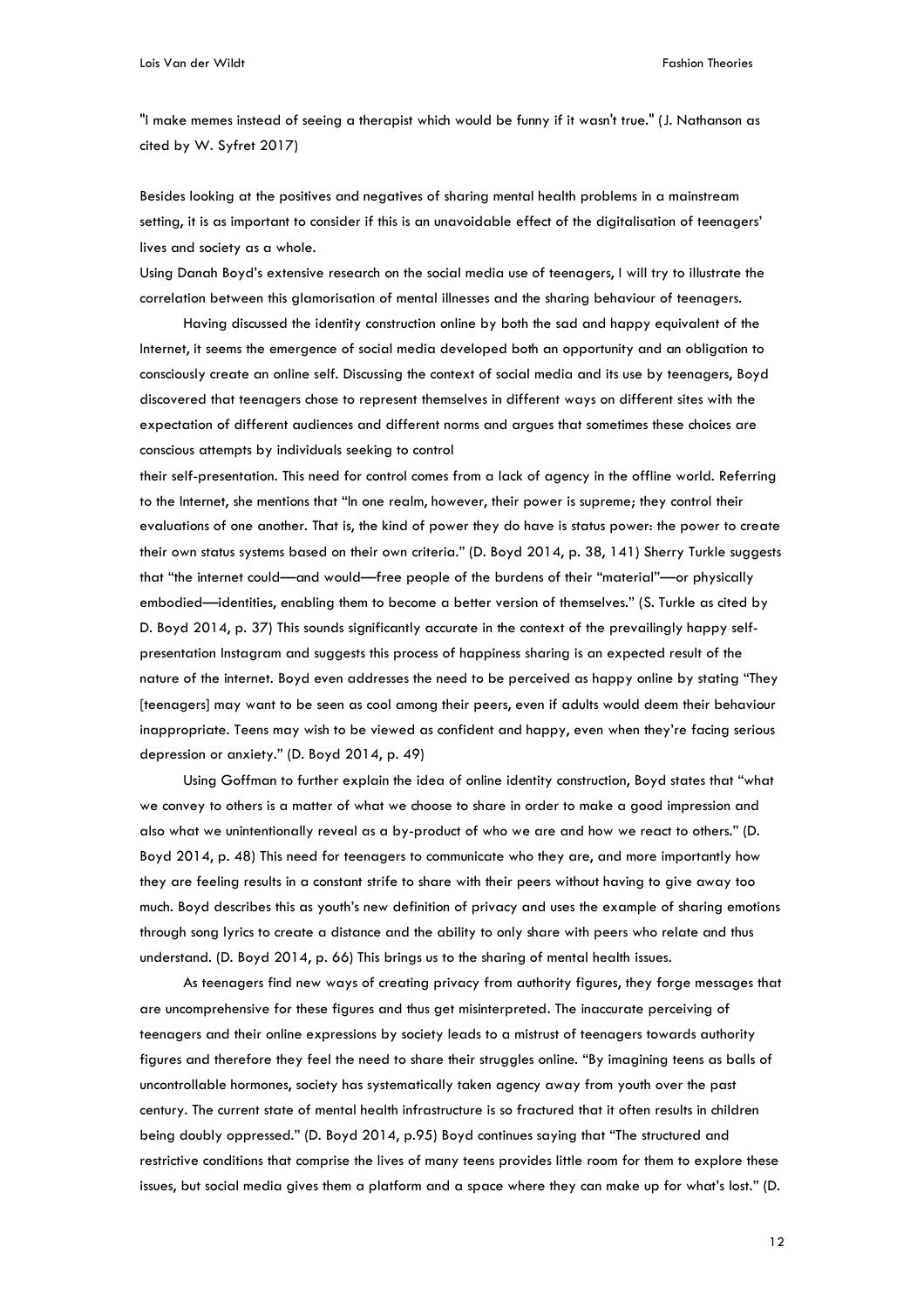"I make memes instead of seeing a therapist which would be funny if it wasn't true." (J. Nathanson as cited by W. Syfret 2017)

Besides looking at the positives and negatives of sharing mental health problems in a mainstream setting, it is as important to consider if this is an unavoidable effect of the digitalisation of teenagers' lives and society as a whole.

Using Danah Boyd's extensive research on the social media use of teenagers, I will try to illustrate the correlation between this glamorisation of mental illnesses and the sharing behaviour of teenagers.

Having discussed the identity construction online by both the sad and happy equivalent of the Internet, it seems the emergence of social media developed both an opportunity and an obligation to consciously create an online self. Discussing the context of social media and its use by teenagers, Boyd discovered that teenagers chose to represent themselves in different ways on different sites with the expectation of different audiences and different norms and argues that sometimes these choices are conscious attempts by individuals seeking to control

their self-presentation. This need for control comes from a lack of agency in the offline world. Referring to the Internet, she mentions that "In one realm, however, their power is supreme; they control their evaluations of one another. That is, the kind of power they do have is status power: the power to create their own status systems based on their own criteria." (D. Boyd 2014, p. 38, 141) Sherry Turkle suggests that "the internet could—and would—free people of the burdens of their "material"—or physically embodied—identities, enabling them to become a better version of themselves." (S. Turkle as cited by D. Boyd 2014, p. 37) This sounds significantly accurate in the context of the prevailingly happy selfpresentation Instagram and suggests this process of happiness sharing is an expected result of the nature of the internet. Boyd even addresses the need to be perceived as happy online by stating "They [teenagers] may want to be seen as cool among their peers, even if adults would deem their behaviour inappropriate. Teens may wish to be viewed as confident and happy, even when they're facing serious depression or anxiety." (D. Boyd 2014, p. 49)

Using Goffman to further explain the idea of online identity construction, Boyd states that "what we convey to others is a matter of what we choose to share in order to make a good impression and also what we unintentionally reveal as a by-product of who we are and how we react to others." (D. Boyd 2014, p. 48) This need for teenagers to communicate who they are, and more importantly how they are feeling results in a constant strife to share with their peers without having to give away too much. Boyd describes this as youth's new definition of privacy and uses the example of sharing emotions through song lyrics to create a distance and the ability to only share with peers who relate and thus understand. (D. Boyd 2014, p. 66) This brings us to the sharing of mental health issues.

As teenagers find new ways of creating privacy from authority figures, they forge messages that are uncomprehensive for these figures and thus get misinterpreted. The inaccurate perceiving of teenagers and their online expressions by society leads to a mistrust of teenagers towards authority figures and therefore they feel the need to share their struggles online. "By imagining teens as balls of uncontrollable hormones, society has systematically taken agency away from youth over the past century. The current state of mental health infrastructure is so fractured that it often results in children being doubly oppressed." (D. Boyd 2014, p.95) Boyd continues saying that "The structured and restrictive conditions that comprise the lives of many teens provides little room for them to explore these issues, but social media gives them a platform and a space where they can make up for what's lost." (D.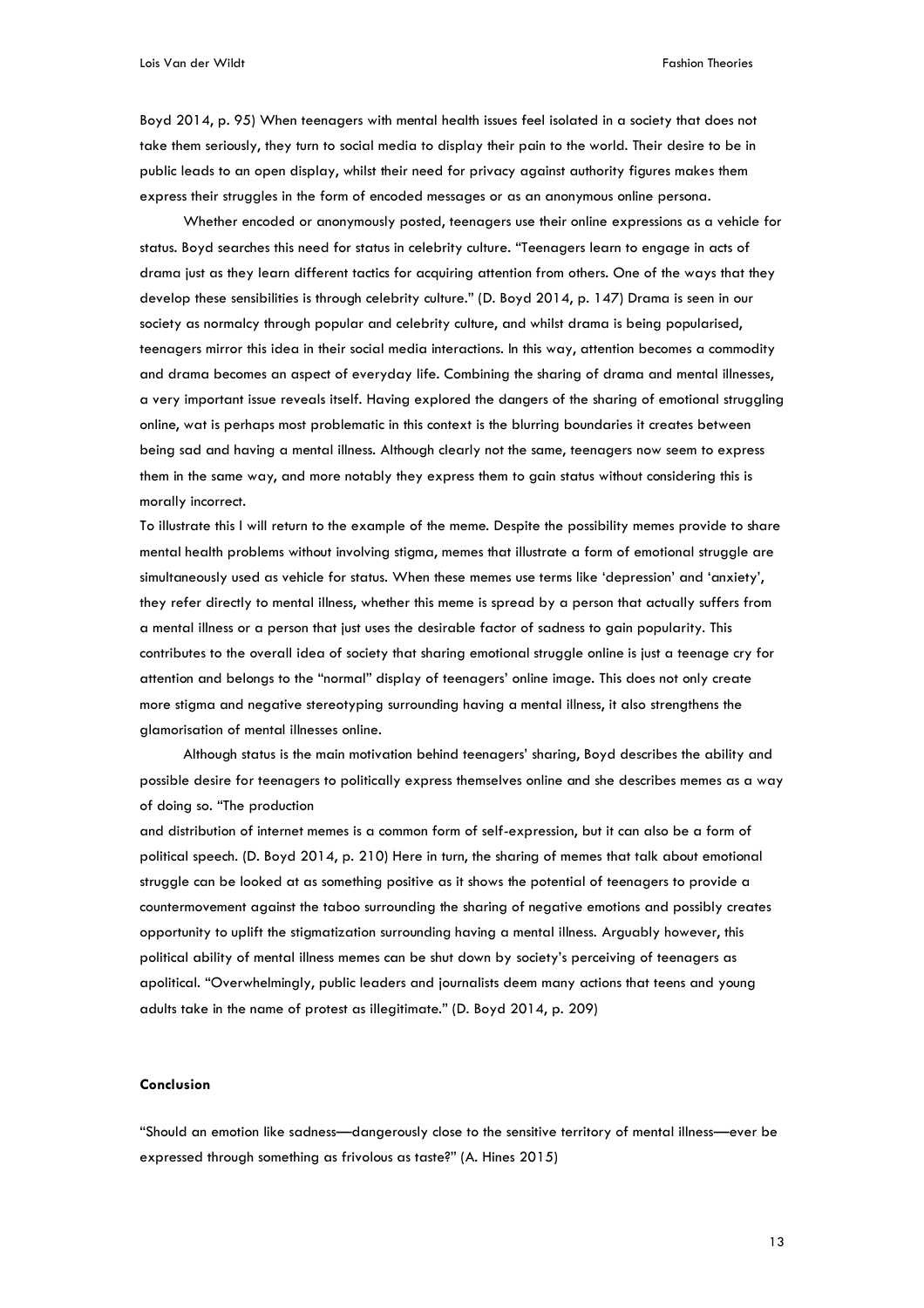Boyd 2014, p. 95) When teenagers with mental health issues feel isolated in a society that does not take them seriously, they turn to social media to display their pain to the world. Their desire to be in public leads to an open display, whilst their need for privacy against authority figures makes them express their struggles in the form of encoded messages or as an anonymous online persona.

Whether encoded or anonymously posted, teenagers use their online expressions as a vehicle for status. Boyd searches this need for status in celebrity culture. "Teenagers learn to engage in acts of drama just as they learn different tactics for acquiring attention from others. One of the ways that they develop these sensibilities is through celebrity culture." (D. Boyd 2014, p. 147) Drama is seen in our society as normalcy through popular and celebrity culture, and whilst drama is being popularised, teenagers mirror this idea in their social media interactions. In this way, attention becomes a commodity and drama becomes an aspect of everyday life. Combining the sharing of drama and mental illnesses, a very important issue reveals itself. Having explored the dangers of the sharing of emotional struggling online, wat is perhaps most problematic in this context is the blurring boundaries it creates between being sad and having a mental illness. Although clearly not the same, teenagers now seem to express them in the same way, and more notably they express them to gain status without considering this is morally incorrect.

To illustrate this I will return to the example of the meme. Despite the possibility memes provide to share mental health problems without involving stigma, memes that illustrate a form of emotional struggle are simultaneously used as vehicle for status. When these memes use terms like 'depression' and 'anxiety', they refer directly to mental illness, whether this meme is spread by a person that actually suffers from a mental illness or a person that just uses the desirable factor of sadness to gain popularity. This contributes to the overall idea of society that sharing emotional struggle online is just a teenage cry for attention and belongs to the "normal" display of teenagers' online image. This does not only create more stigma and negative stereotyping surrounding having a mental illness, it also strengthens the glamorisation of mental illnesses online.

Although status is the main motivation behind teenagers' sharing, Boyd describes the ability and possible desire for teenagers to politically express themselves online and she describes memes as a way of doing so. "The production

and distribution of internet memes is a common form of self-expression, but it can also be a form of political speech. (D. Boyd 2014, p. 210) Here in turn, the sharing of memes that talk about emotional struggle can be looked at as something positive as it shows the potential of teenagers to provide a countermovement against the taboo surrounding the sharing of negative emotions and possibly creates opportunity to uplift the stigmatization surrounding having a mental illness. Arguably however, this political ability of mental illness memes can be shut down by society's perceiving of teenagers as apolitical. "Overwhelmingly, public leaders and journalists deem many actions that teens and young adults take in the name of protest as illegitimate." (D. Boyd 2014, p. 209)

# **Conclusion**

"Should an emotion like sadness—dangerously close to the sensitive territory of mental illness—ever be expressed through something as frivolous as taste?" (A. Hines 2015)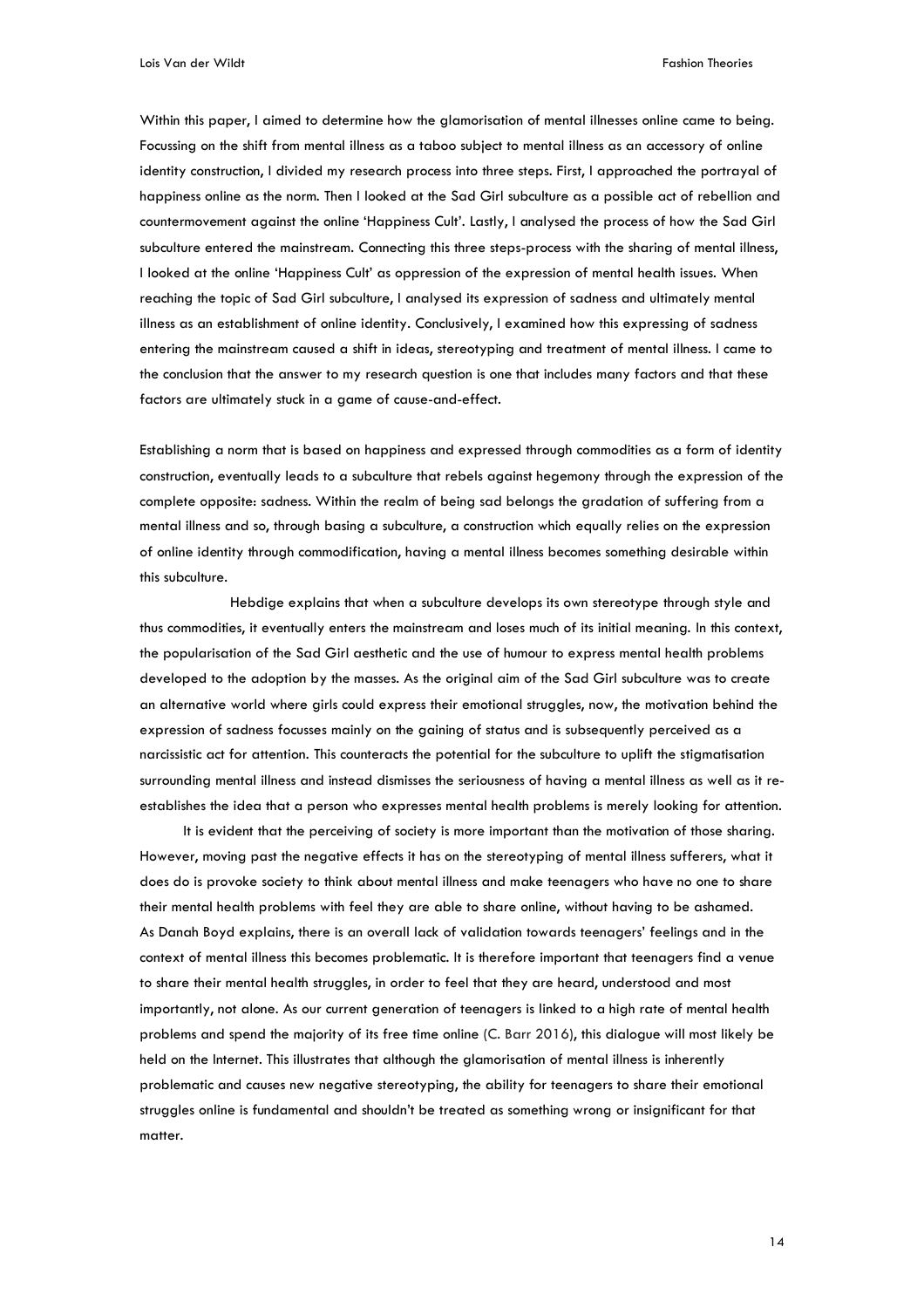Within this paper, I aimed to determine how the glamorisation of mental illnesses online came to being. Focussing on the shift from mental illness as a taboo subject to mental illness as an accessory of online identity construction, I divided my research process into three steps. First, I approached the portrayal of happiness online as the norm. Then I looked at the Sad Girl subculture as a possible act of rebellion and countermovement against the online 'Happiness Cult'. Lastly, I analysed the process of how the Sad Girl subculture entered the mainstream. Connecting this three steps-process with the sharing of mental illness, I looked at the online 'Happiness Cult' as oppression of the expression of mental health issues. When reaching the topic of Sad Girl subculture, I analysed its expression of sadness and ultimately mental illness as an establishment of online identity. Conclusively, I examined how this expressing of sadness entering the mainstream caused a shift in ideas, stereotyping and treatment of mental illness. I came to the conclusion that the answer to my research question is one that includes many factors and that these factors are ultimately stuck in a game of cause-and-effect.

Establishing a norm that is based on happiness and expressed through commodities as a form of identity construction, eventually leads to a subculture that rebels against hegemony through the expression of the complete opposite: sadness. Within the realm of being sad belongs the gradation of suffering from a mental illness and so, through basing a subculture, a construction which equally relies on the expression of online identity through commodification, having a mental illness becomes something desirable within this subculture.

Hebdige explains that when a subculture develops its own stereotype through style and thus commodities, it eventually enters the mainstream and loses much of its initial meaning. In this context, the popularisation of the Sad Girl aesthetic and the use of humour to express mental health problems developed to the adoption by the masses. As the original aim of the Sad Girl subculture was to create an alternative world where girls could express their emotional struggles, now, the motivation behind the expression of sadness focusses mainly on the gaining of status and is subsequently perceived as a narcissistic act for attention. This counteracts the potential for the subculture to uplift the stigmatisation surrounding mental illness and instead dismisses the seriousness of having a mental illness as well as it reestablishes the idea that a person who expresses mental health problems is merely looking for attention.

It is evident that the perceiving of society is more important than the motivation of those sharing. However, moving past the negative effects it has on the stereotyping of mental illness sufferers, what it does do is provoke society to think about mental illness and make teenagers who have no one to share their mental health problems with feel they are able to share online, without having to be ashamed. As Danah Boyd explains, there is an overall lack of validation towards teenagers' feelings and in the context of mental illness this becomes problematic. It is therefore important that teenagers find a venue to share their mental health struggles, in order to feel that they are heard, understood and most importantly, not alone. As our current generation of teenagers is linked to a high rate of mental health problems and spend the majority of its free time online (C. Barr 2016), this dialogue will most likely be held on the Internet. This illustrates that although the glamorisation of mental illness is inherently problematic and causes new negative stereotyping, the ability for teenagers to share their emotional struggles online is fundamental and shouldn't be treated as something wrong or insignificant for that matter.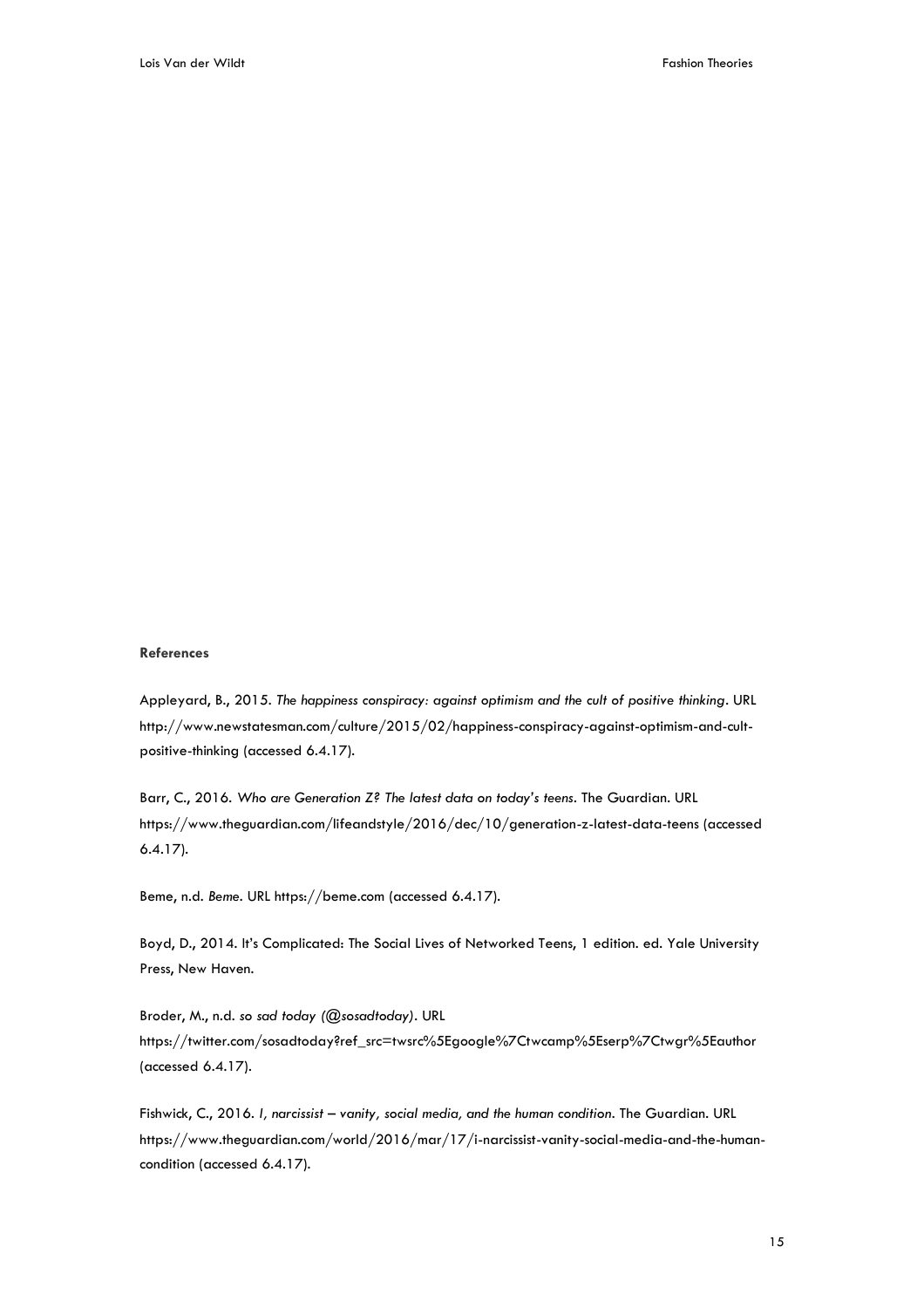# **References**

Appleyard, B., 2015. *The happiness conspiracy: against optimism and the cult of positive thinking*. URL http://www.newstatesman.com/culture/2015/02/happiness-conspiracy-against-optimism-and-cultpositive-thinking (accessed 6.4.17).

Barr, C., 2016. *Who are Generation Z? The latest data on today's teens*. The Guardian. URL https://www.theguardian.com/lifeandstyle/2016/dec/10/generation-z-latest-data-teens (accessed 6.4.17).

Beme, n.d. *Beme*. URL https://beme.com (accessed 6.4.17).

Boyd, D., 2014. It's Complicated: The Social Lives of Networked Teens, 1 edition. ed. Yale University Press, New Haven.

Broder, M., n.d. *so sad today (@sosadtoday)*. URL https://twitter.com/sosadtoday?ref\_src=twsrc%5Egoogle%7Ctwcamp%5Eserp%7Ctwgr%5Eauthor (accessed 6.4.17).

Fishwick, C., 2016. *I, narcissist – vanity, social media, and the human condition*. The Guardian. URL https://www.theguardian.com/world/2016/mar/17/i-narcissist-vanity-social-media-and-the-humancondition (accessed 6.4.17).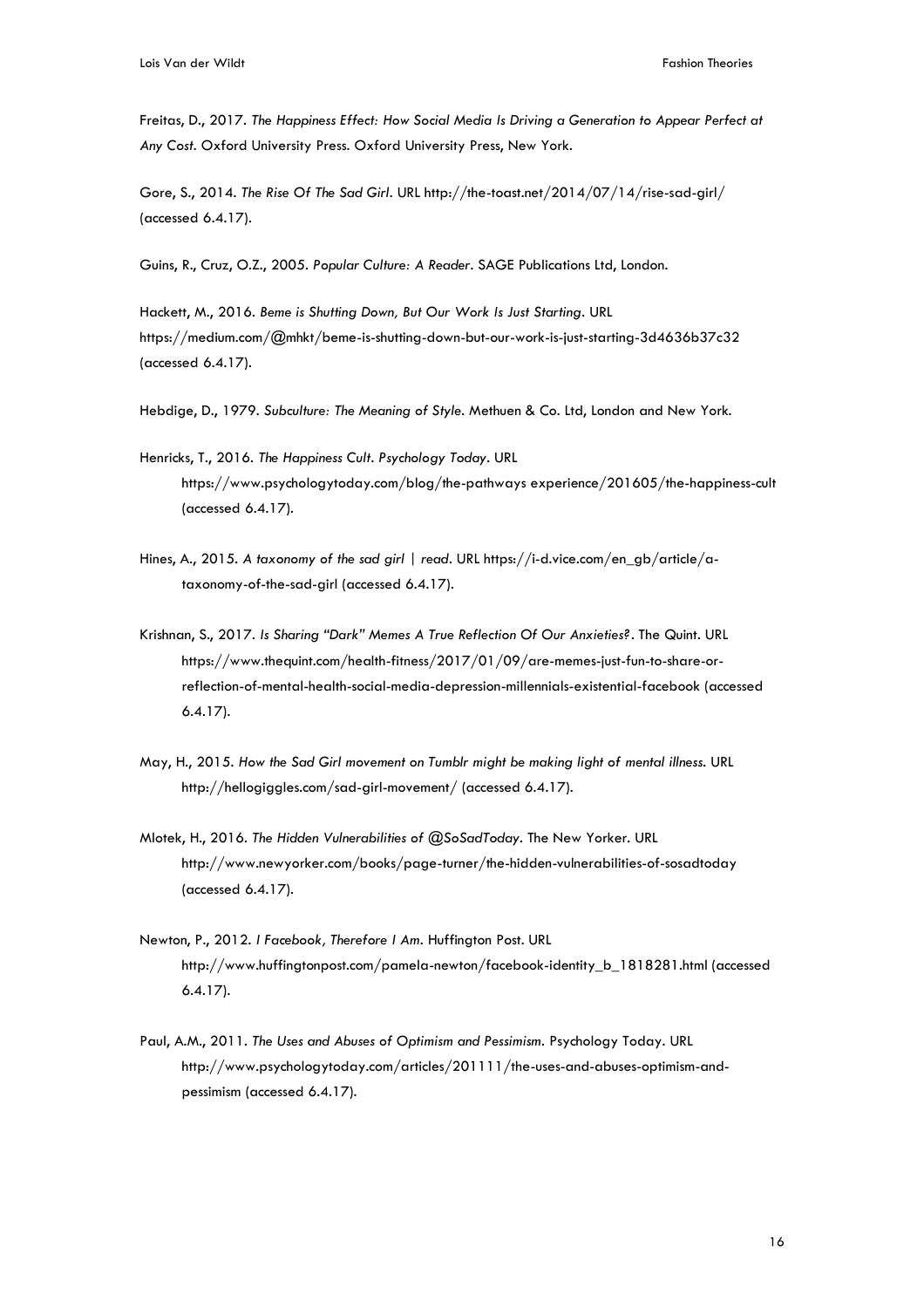Freitas, D., 2017. *The Happiness Effect: How Social Media Is Driving a Generation to Appear Perfect at Any Cost*. Oxford University Press. Oxford University Press, New York.

Gore, S., 2014. *The Rise Of The Sad Girl*. URL http://the-toast.net/2014/07/14/rise-sad-girl/ (accessed 6.4.17).

Guins, R., Cruz, O.Z., 2005. *Popular Culture: A Reader*. SAGE Publications Ltd, London.

Hackett, M., 2016. *Beme is Shutting Down, But Our Work Is Just Starting*. URL https://medium.com/@mhkt/beme-is-shutting-down-but-our-work-is-just-starting-3d4636b37c32 (accessed 6.4.17).

Hebdige, D., 1979. *Subculture: The Meaning of Style*. Methuen & Co. Ltd, London and New York.

- Henricks, T., 2016. *The Happiness Cult. Psychology Today*. URL https://www.psychologytoday.com/blog/the-pathways experience/201605/the-happiness-cult (accessed 6.4.17).
- Hines, A., 2015. *A taxonomy of the sad girl | read*. URL https://i-d.vice.com/en\_gb/article/ataxonomy-of-the-sad-girl (accessed 6.4.17).
- Krishnan, S., 2017. *Is Sharing "Dark" Memes A True Reflection Of Our Anxieties?*. The Quint. URL https://www.thequint.com/health-fitness/2017/01/09/are-memes-just-fun-to-share-orreflection-of-mental-health-social-media-depression-millennials-existential-facebook (accessed 6.4.17).
- May, H., 2015. *How the Sad Girl movement on Tumblr might be making light of mental illness.* URL http://hellogiggles.com/sad-girl-movement/ (accessed 6.4.17).
- Mlotek, H., 2016. *The Hidden Vulnerabilities of @SoSadToday*. The New Yorker. URL http://www.newyorker.com/books/page-turner/the-hidden-vulnerabilities-of-sosadtoday (accessed 6.4.17).
- Newton, P., 2012. *I Facebook, Therefore I Am.* Huffington Post. URL http://www.huffingtonpost.com/pamela-newton/facebook-identity\_b\_1818281.html (accessed 6.4.17).
- Paul, A.M., 2011. *The Uses and Abuses of Optimism and Pessimism.* Psychology Today. URL http://www.psychologytoday.com/articles/201111/the-uses-and-abuses-optimism-andpessimism (accessed 6.4.17).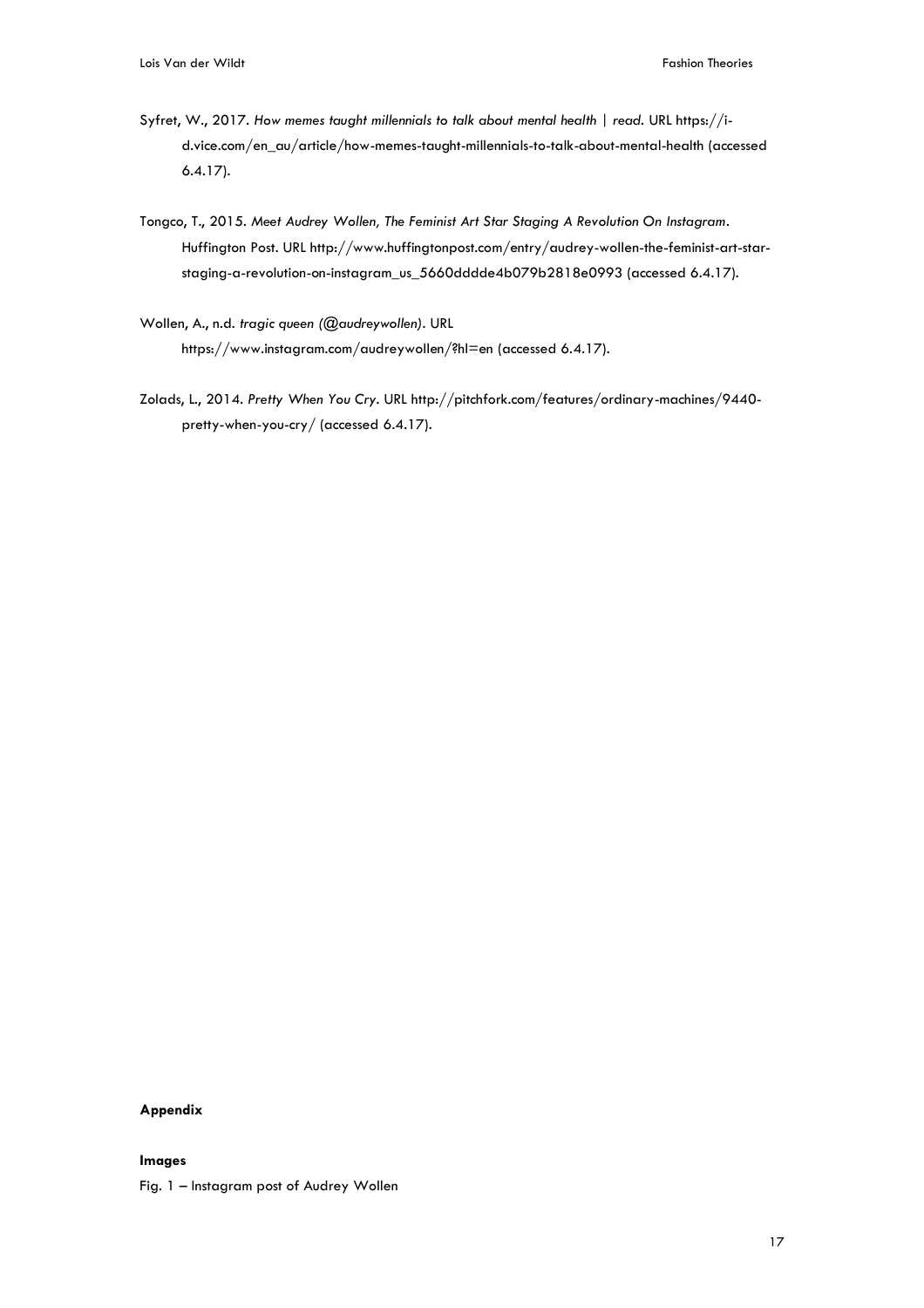- Syfret, W., 2017. How memes taught millennials to talk about mental health | read. URL https://id.vice.com/en\_au/article/how-memes-taught-millennials-to-talk-about-mental-health (accessed 6.4.17).
- Tongco, T., 2015. *Meet Audrey Wollen, The Feminist Art Star Staging A Revolution On Instagram*. Huffington Post. URL http://www.huffingtonpost.com/entry/audrey-wollen-the-feminist-art-starstaging-a-revolution-on-instagram\_us\_5660dddde4b079b2818e0993 (accessed 6.4.17).
- Wollen, A., n.d. *tragic queen (@audreywollen).* URL https://www.instagram.com/audreywollen/?hl=en (accessed 6.4.17).
- Zolads, L., 2014. *Pretty When You Cry*. URL http://pitchfork.com/features/ordinary-machines/9440 pretty-when-you-cry/ (accessed 6.4.17).

# **Appendix**

# **Images**

Fig. 1 – Instagram post of Audrey Wollen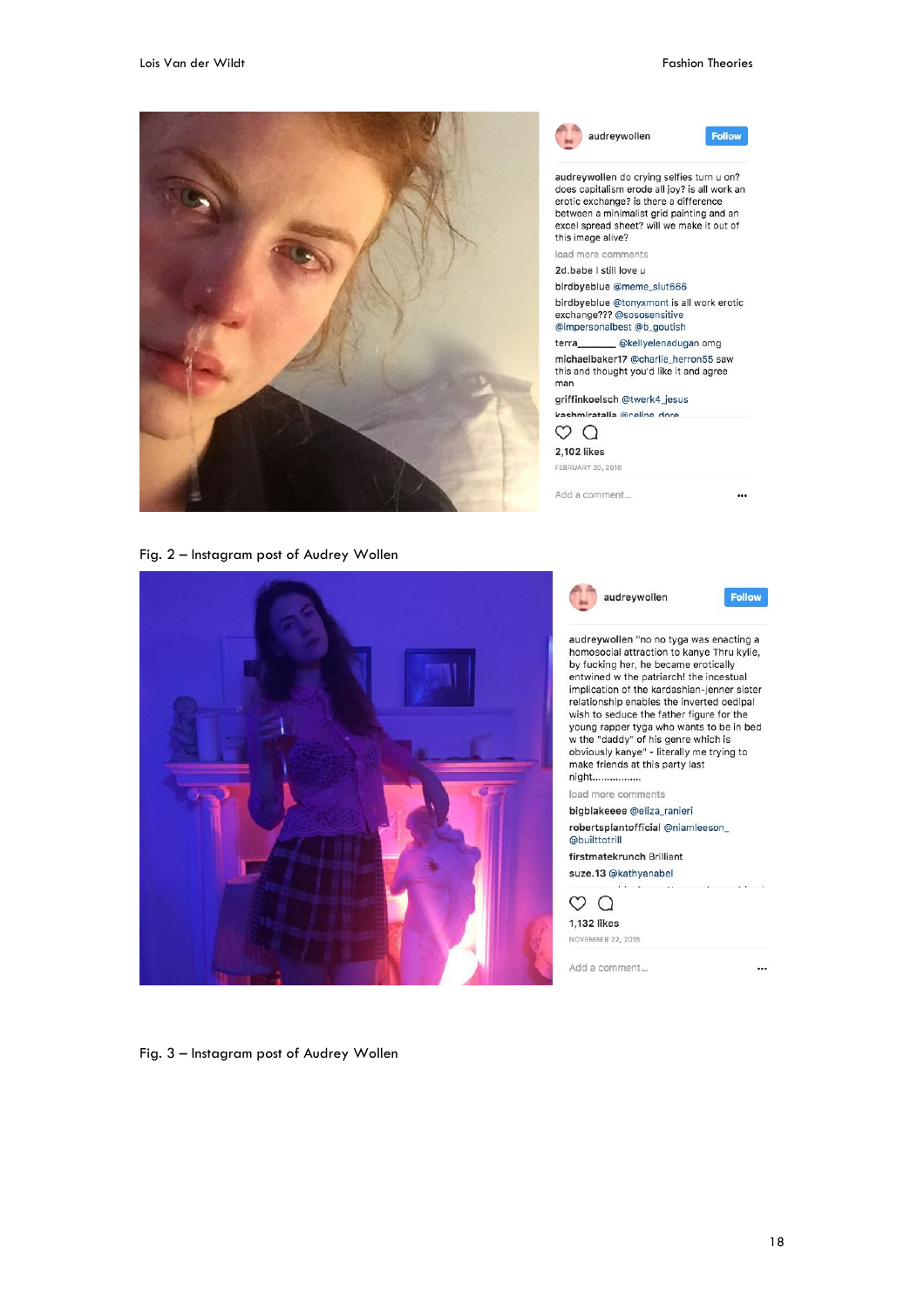Follow

...

**Follow** 



Fig. 2 – Instagram post of Audrey Wollen



audreywollen "no no tyga was enacting a homosocial attraction to kanye Thru kylie, by fucking her, he became erotically entwined w the patriarch! the incestual implication of the kardashian-jenner sister relationship enables the inverted oedipal wish to seduce the father figure for the young rapper tyga who wants to be in bed<br>w the "daddy" of his genre which is<br>obviously kanye" - literally me trying to make friends at this party last night................ load more comments bigblakeeee @eliza\_ranieri robertsplantofficial @niamleeson\_ @builttotrill firstmatekrunch Brilliant suze.13 @kathyanabel  $\circ$   $\circ$ 1,132 likes **NOVEMBER 22, 2015** Add a comment... ...

audreywollen

Fig. 3 – Instagram post of Audrey Wollen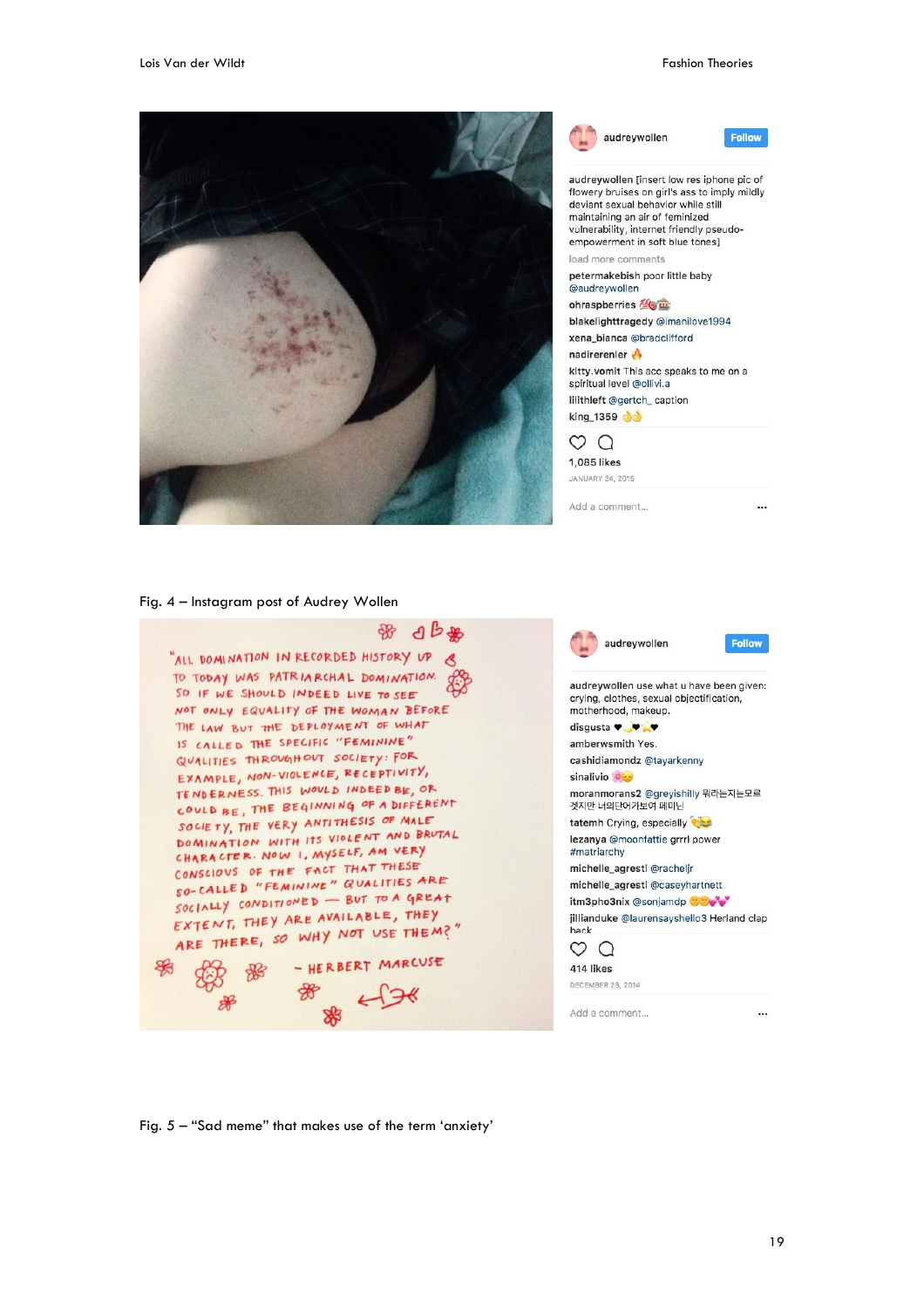



audreywollen



audreywollen [insert low res iphone pic of flowery bruises on girl's ass to imply mildly deviant sexual behavior while still maintaining an air of feminized vulnerability, internet friendly pseudoempowerment in soft blue tones1 load more comments petermakebish poor little baby @audreywollen ohraspberries **Le m** blakelighttragedy @imanilove1994 xena\_bianca @bradclifford nadirerenler kitty.vomit This acc speaks to me on a spiritual level @ollivi.a lilithleft @gertch\_caption

king\_1359

 $\circ$   $\circ$ 

1,085 likes JANIJARY 24 2015

Add a comment...

 $\cdots$ 

# Fig. 4 – Instagram post of Audrey Wollen



Fig. 5 – "Sad meme" that makes use of the term 'anxiety'